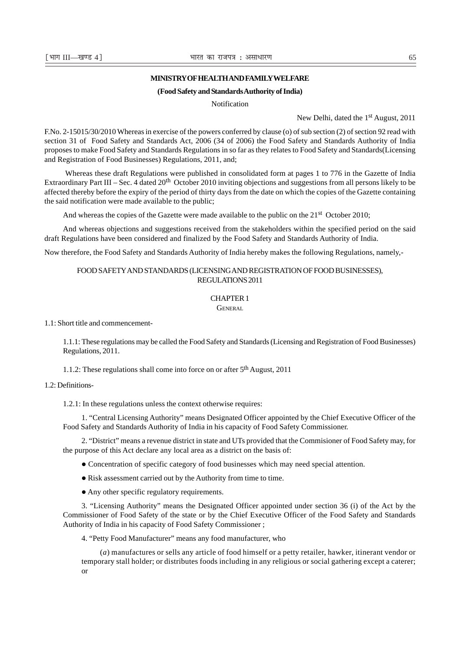#### **MINISTRY OF HEALTH AND FAMILY WELFARE**

#### **(Food Safety and Standards Authority of India)**

Notification

New Delhi, dated the 1<sup>st</sup> August, 2011

F.No. 2-15015/30/2010 Whereas in exercise of the powers conferred by clause (o) of sub section (2) of section 92 read with section 31 of Food Safety and Standards Act, 2006 (34 of 2006) the Food Safety and Standards Authority of India proposes to make Food Safety and Standards Regulations in so far as they relates to Food Safety and Standards(Licensing and Registration of Food Businesses) Regulations, 2011, and;

 Whereas these draft Regulations were published in consolidated form at pages 1 to 776 in the Gazette of India Extraordinary Part III – Sec. 4 dated  $20<sup>th</sup>$  October 2010 inviting objections and suggestions from all persons likely to be affected thereby before the expiry of the period of thirty days from the date on which the copies of the Gazette containing the said notification were made available to the public;

And whereas the copies of the Gazette were made available to the public on the 21<sup>st</sup> October 2010;

And whereas objections and suggestions received from the stakeholders within the specified period on the said draft Regulations have been considered and finalized by the Food Safety and Standards Authority of India.

Now therefore, the Food Safety and Standards Authority of India hereby makes the following Regulations, namely,-

#### FOOD SAFETY AND STANDARDS (LICENSING AND REGISTRATION OF FOOD BUSINESSES), REGULATIONS 2011

#### CHAPTER 1

**GENERAL** 

1.1: Short title and commencement-

1.1.1: These regulations may be called the Food Safety and Standards (Licensing and Registration of Food Businesses) Regulations, 2011.

1.1.2: These regulations shall come into force on or after 5th August, 2011

#### 1.2: Definitions-

1.2.1: In these regulations unless the context otherwise requires:

1. "Central Licensing Authority" means Designated Officer appointed by the Chief Executive Officer of the Food Safety and Standards Authority of India in his capacity of Food Safety Commissioner.

2. "District" means a revenue district in state and UTs provided that the Commisioner of Food Safety may, for the purpose of this Act declare any local area as a district on the basis of:

- Concentration of specific category of food businesses which may need special attention.
- Risk assessment carried out by the Authority from time to time.
- Any other specific regulatory requirements.

3. "Licensing Authority" means the Designated Officer appointed under section 36 (i) of the Act by the Commissioner of Food Safety of the state or by the Chief Executive Officer of the Food Safety and Standards Authority of India in his capacity of Food Safety Commissioner ;

4. "Petty Food Manufacturer" means any food manufacturer, who

(*a*) manufactures or sells any article of food himself or a petty retailer, hawker, itinerant vendor or temporary stall holder; or distributes foods including in any religious or social gathering except a caterer; or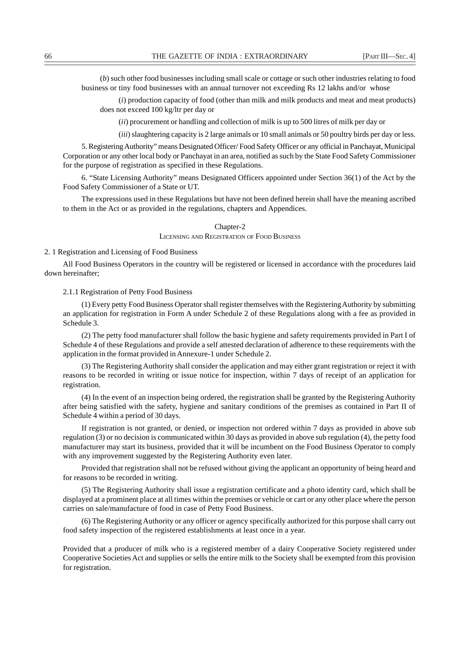(*b*) such other food businesses including small scale or cottage or such other industries relating to food business or tiny food businesses with an annual turnover not exceeding Rs 12 lakhs and/or whose

(*i*) production capacity of food (other than milk and milk products and meat and meat products) does not exceed 100 kg/ltr per day or

(*ii*) procurement or handling and collection of milk is up to 500 litres of milk per day or

(*iii*) slaughtering capacity is 2 large animals or 10 small animals or 50 poultry birds per day or less.

5. Registering Authority" means Designated Officer/ Food Safety Officer or any official in Panchayat, Municipal Corporation or any other local body or Panchayat in an area, notified as such by the State Food Safety Commissioner for the purpose of registration as specified in these Regulations.

6. "State Licensing Authority" means Designated Officers appointed under Section 36(1) of the Act by the Food Safety Commissioner of a State or UT.

The expressions used in these Regulations but have not been defined herein shall have the meaning ascribed to them in the Act or as provided in the regulations, chapters and Appendices.

#### Chapter-2

LICENSING AND REGISTRATION OF FOOD BUSINESS

2. 1 Registration and Licensing of Food Business

All Food Business Operators in the country will be registered or licensed in accordance with the procedures laid down hereinafter;

2.1.1 Registration of Petty Food Business

(1) Every petty Food Business Operator shall register themselves with the Registering Authority by submitting an application for registration in Form A under Schedule 2 of these Regulations along with a fee as provided in Schedule 3.

(2) The petty food manufacturer shall follow the basic hygiene and safety requirements provided in Part I of Schedule 4 of these Regulations and provide a self attested declaration of adherence to these requirements with the application in the format provided in Annexure-1 under Schedule 2.

(3) The Registering Authority shall consider the application and may either grant registration or reject it with reasons to be recorded in writing or issue notice for inspection, within 7 days of receipt of an application for registration.

(4) In the event of an inspection being ordered, the registration shall be granted by the Registering Authority after being satisfied with the safety, hygiene and sanitary conditions of the premises as contained in Part II of Schedule 4 within a period of 30 days.

If registration is not granted, or denied, or inspection not ordered within 7 days as provided in above sub regulation (3) or no decision is communicated within 30 days as provided in above sub regulation (4), the petty food manufacturer may start its business, provided that it will be incumbent on the Food Business Operator to comply with any improvement suggested by the Registering Authority even later.

Provided that registration shall not be refused without giving the applicant an opportunity of being heard and for reasons to be recorded in writing.

(5) The Registering Authority shall issue a registration certificate and a photo identity card, which shall be displayed at a prominent place at all times within the premises or vehicle or cart or any other place where the person carries on sale/manufacture of food in case of Petty Food Business.

(6) The Registering Authority or any officer or agency specifically authorized for this purpose shall carry out food safety inspection of the registered establishments at least once in a year.

Provided that a producer of milk who is a registered member of a dairy Cooperative Society registered under Cooperative Societies Act and supplies or sells the entire milk to the Society shall be exempted from this provision for registration.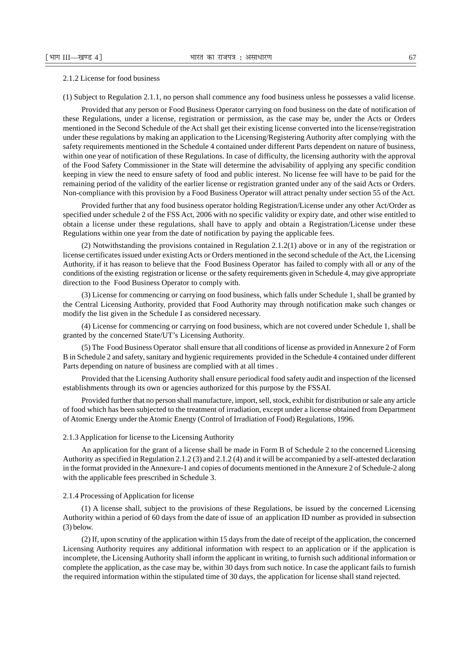#### 2.1.2 License for food business

(1) Subject to Regulation 2.1.1, no person shall commence any food business unless he possesses a valid license.

Provided that any person or Food Business Operator carrying on food business on the date of notification of these Regulations, under a license, registration or permission, as the case may be, under the Acts or Orders mentioned in the Second Schedule of the Act shall get their existing license converted into the license/registration under these regulations by making an application to the Licensing/Registering Authority after complying with the safety requirements mentioned in the Schedule 4 contained under different Parts dependent on nature of business, within one year of notification of these Regulations. In case of difficulty, the licensing authority with the approval of the Food Safety Commissioner in the State will determine the advisability of applying any specific condition keeping in view the need to ensure safety of food and public interest. No license fee will have to be paid for the remaining period of the validity of the earlier license or registration granted under any of the said Acts or Orders. Non-compliance with this provision by a Food Business Operator will attract penalty under section 55 of the Act.

Provided further that any food business operator holding Registration/License under any other Act/Order as specified under schedule 2 of the FSS Act, 2006 with no specific validity or expiry date, and other wise entitled to obtain a license under these regulations, shall have to apply and obtain a Registration/License under these Regulations within one year from the date of notification by paying the applicable fees.

(2) Notwithstanding the provisions contained in Regulation 2.1.2(1) above or in any of the registration or license certificates issued under existing Acts or Orders mentioned in the second schedule of the Act, the Licensing Authority, if it has reason to believe that the Food Business Operator has failed to comply with all or any of the conditions of the existing registration or license or the safety requirements given in Schedule 4, may give appropriate direction to the Food Business Operator to comply with.

(3) License for commencing or carrying on food business, which falls under Schedule 1, shall be granted by the Central Licensing Authority, provided that Food Authority may through notification make such changes or modify the list given in the Schedule I as considered necessary.

(4) License for commencing or carrying on food business, which are not covered under Schedule 1, shall be granted by the concerned State/UT's Licensing Authority.

(5) The Food Business Operator shall ensure that all conditions of license as provided in Annexure 2 of Form B in Schedule 2 and safety, sanitary and hygienic requirements provided in the Schedule 4 contained under different Parts depending on nature of business are complied with at all times .

Provided that the Licensing Authority shall ensure periodical food safety audit and inspection of the licensed establishments through its own or agencies authorized for this purpose by the FSSAI.

Provided further that no person shall manufacture, import, sell, stock, exhibit for distribution or sale any article of food which has been subjected to the treatment of irradiation, except under a license obtained from Department of Atomic Energy under the Atomic Energy (Control of Irradiation of Food) Regulations, 1996.

#### 2.1.3 Application for license to the Licensing Authority

An application for the grant of a license shall be made in Form B of Schedule 2 to the concerned Licensing Authority as specified in Regulation 2.1.2 (3) and 2.1.2 (4) and it will be accompanied by a self-attested declaration in the format provided in the Annexure-1 and copies of documents mentioned in the Annexure 2 of Schedule-2 along with the applicable fees prescribed in Schedule 3.

#### 2.1.4 Processing of Application for license

(1) A license shall, subject to the provisions of these Regulations, be issued by the concerned Licensing Authority within a period of 60 days from the date of issue of an application ID number as provided in subsection (3) below.

(2) If, upon scrutiny of the application within 15 days from the date of receipt of the application, the concerned Licensing Authority requires any additional information with respect to an application or if the application is incomplete, the Licensing Authority shall inform the applicant in writing, to furnish such additional information or complete the application, as the case may be, within 30 days from such notice. In case the applicant fails to furnish the required information within the stipulated time of 30 days, the application for license shall stand rejected.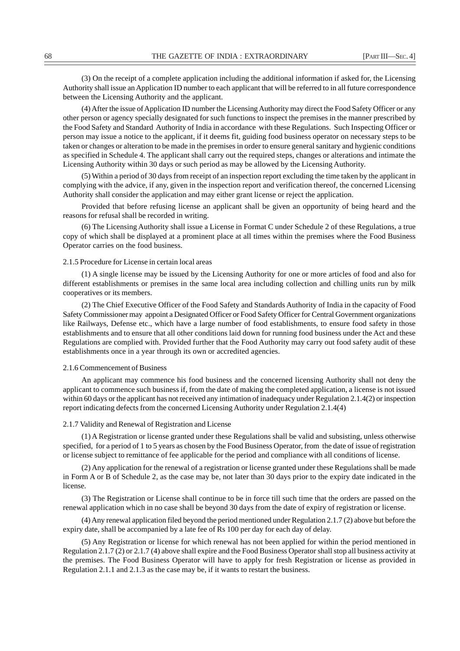(3) On the receipt of a complete application including the additional information if asked for, the Licensing Authority shall issue an Application ID number to each applicant that will be referred to in all future correspondence between the Licensing Authority and the applicant.

(4) After the issue of Application ID number the Licensing Authority may direct the Food Safety Officer or any other person or agency specially designated for such functions to inspect the premises in the manner prescribed by the Food Safety and Standard Authority of India in accordance with these Regulations. Such Inspecting Officer or person may issue a notice to the applicant, if it deems fit, guiding food business operator on necessary steps to be taken or changes or alteration to be made in the premises in order to ensure general sanitary and hygienic conditions as specified in Schedule 4. The applicant shall carry out the required steps, changes or alterations and intimate the Licensing Authority within 30 days or such period as may be allowed by the Licensing Authority.

(5) Within a period of 30 days from receipt of an inspection report excluding the time taken by the applicant in complying with the advice, if any, given in the inspection report and verification thereof, the concerned Licensing Authority shall consider the application and may either grant license or reject the application.

Provided that before refusing license an applicant shall be given an opportunity of being heard and the reasons for refusal shall be recorded in writing.

(6) The Licensing Authority shall issue a License in Format C under Schedule 2 of these Regulations, a true copy of which shall be displayed at a prominent place at all times within the premises where the Food Business Operator carries on the food business.

#### 2.1.5 Procedure for License in certain local areas

(1) A single license may be issued by the Licensing Authority for one or more articles of food and also for different establishments or premises in the same local area including collection and chilling units run by milk cooperatives or its members.

(2) The Chief Executive Officer of the Food Safety and Standards Authority of India in the capacity of Food Safety Commissioner may appoint a Designated Officer or Food Safety Officer for Central Government organizations like Railways, Defense etc., which have a large number of food establishments, to ensure food safety in those establishments and to ensure that all other conditions laid down for running food business under the Act and these Regulations are complied with. Provided further that the Food Authority may carry out food safety audit of these establishments once in a year through its own or accredited agencies.

#### 2.1.6 Commencement of Business

An applicant may commence his food business and the concerned licensing Authority shall not deny the applicant to commence such business if, from the date of making the completed application, a license is not issued within 60 days or the applicant has not received any intimation of inadequacy under Regulation 2.1.4(2) or inspection report indicating defects from the concerned Licensing Authority under Regulation 2.1.4(4)

#### 2.1.7 Validity and Renewal of Registration and License

(1) A Registration or license granted under these Regulations shall be valid and subsisting, unless otherwise specified, for a period of 1 to 5 years as chosen by the Food Business Operator, from the date of issue of registration or license subject to remittance of fee applicable for the period and compliance with all conditions of license.

(2) Any application for the renewal of a registration or license granted under these Regulations shall be made in Form A or B of Schedule 2, as the case may be, not later than 30 days prior to the expiry date indicated in the license.

(3) The Registration or License shall continue to be in force till such time that the orders are passed on the renewal application which in no case shall be beyond 30 days from the date of expiry of registration or license.

(4) Any renewal application filed beyond the period mentioned under Regulation 2.1.7 (2) above but before the expiry date, shall be accompanied by a late fee of Rs 100 per day for each day of delay.

(5) Any Registration or license for which renewal has not been applied for within the period mentioned in Regulation 2.1.7 (2) or 2.1.7 (4) above shall expire and the Food Business Operator shall stop all business activity at the premises. The Food Business Operator will have to apply for fresh Registration or license as provided in Regulation 2.1.1 and 2.1.3 as the case may be, if it wants to restart the business.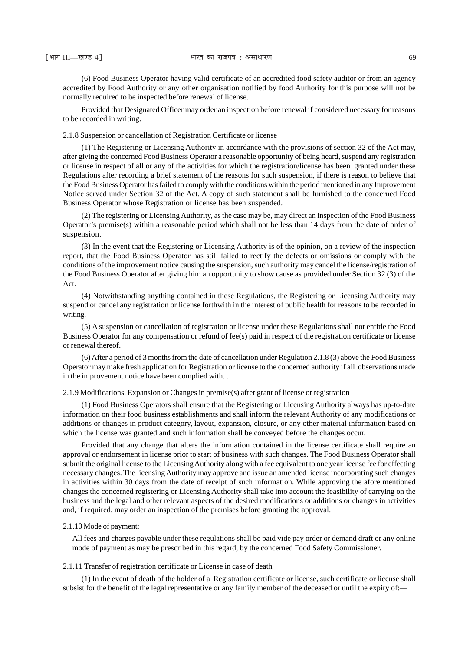(6) Food Business Operator having valid certificate of an accredited food safety auditor or from an agency accredited by Food Authority or any other organisation notified by food Authority for this purpose will not be normally required to be inspected before renewal of license.

Provided that Designated Officer may order an inspection before renewal if considered necessary for reasons to be recorded in writing.

2.1.8 Suspension or cancellation of Registration Certificate or license

(1) The Registering or Licensing Authority in accordance with the provisions of section 32 of the Act may, after giving the concerned Food Business Operator a reasonable opportunity of being heard, suspend any registration or license in respect of all or any of the activities for which the registration/license has been granted under these Regulations after recording a brief statement of the reasons for such suspension, if there is reason to believe that the Food Business Operator has failed to comply with the conditions within the period mentioned in any Improvement Notice served under Section 32 of the Act. A copy of such statement shall be furnished to the concerned Food Business Operator whose Registration or license has been suspended.

(2) The registering or Licensing Authority, as the case may be, may direct an inspection of the Food Business Operator's premise(s) within a reasonable period which shall not be less than 14 days from the date of order of suspension.

(3) In the event that the Registering or Licensing Authority is of the opinion, on a review of the inspection report, that the Food Business Operator has still failed to rectify the defects or omissions or comply with the conditions of the improvement notice causing the suspension, such authority may cancel the license/registration of the Food Business Operator after giving him an opportunity to show cause as provided under Section 32 (3) of the Act.

(4) Notwithstanding anything contained in these Regulations, the Registering or Licensing Authority may suspend or cancel any registration or license forthwith in the interest of public health for reasons to be recorded in writing.

(5) A suspension or cancellation of registration or license under these Regulations shall not entitle the Food Business Operator for any compensation or refund of fee(s) paid in respect of the registration certificate or license or renewal thereof.

(6) After a period of 3 months from the date of cancellation under Regulation 2.1.8 (3) above the Food Business Operator may make fresh application for Registration or license to the concerned authority if all observations made in the improvement notice have been complied with. .

#### 2.1.9 Modifications, Expansion or Changes in premise(s) after grant of license or registration

(1) Food Business Operators shall ensure that the Registering or Licensing Authority always has up-to-date information on their food business establishments and shall inform the relevant Authority of any modifications or additions or changes in product category, layout, expansion, closure, or any other material information based on which the license was granted and such information shall be conveyed before the changes occur.

Provided that any change that alters the information contained in the license certificate shall require an approval or endorsement in license prior to start of business with such changes. The Food Business Operator shall submit the original license to the Licensing Authority along with a fee equivalent to one year license fee for effecting necessary changes. The licensing Authority may approve and issue an amended license incorporating such changes in activities within 30 days from the date of receipt of such information. While approving the afore mentioned changes the concerned registering or Licensing Authority shall take into account the feasibility of carrying on the business and the legal and other relevant aspects of the desired modifications or additions or changes in activities and, if required, may order an inspection of the premises before granting the approval.

#### 2.1.10 Mode of payment:

All fees and charges payable under these regulations shall be paid vide pay order or demand draft or any online mode of payment as may be prescribed in this regard, by the concerned Food Safety Commissioner.

#### 2.1.11 Transfer of registration certificate or License in case of death

(1) In the event of death of the holder of a Registration certificate or license, such certificate or license shall subsist for the benefit of the legal representative or any family member of the deceased or until the expiry of:—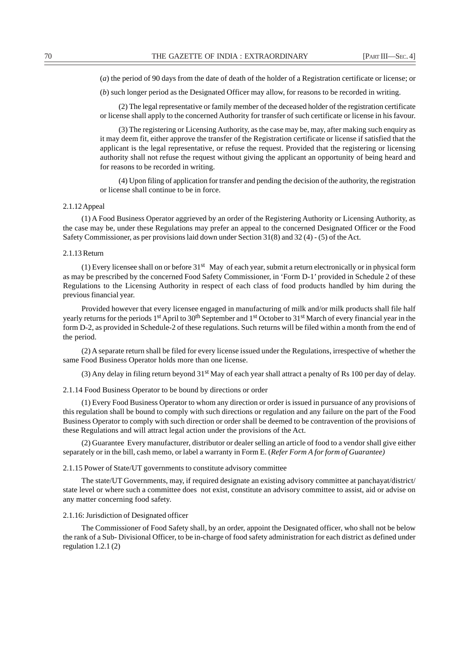(*a*) the period of 90 days from the date of death of the holder of a Registration certificate or license; or

(*b*) such longer period as the Designated Officer may allow, for reasons to be recorded in writing.

(2) The legal representative or family member of the deceased holder of the registration certificate or license shall apply to the concerned Authority for transfer of such certificate or license in his favour.

(3) The registering or Licensing Authority, as the case may be, may, after making such enquiry as it may deem fit, either approve the transfer of the Registration certificate or license if satisfied that the applicant is the legal representative, or refuse the request. Provided that the registering or licensing authority shall not refuse the request without giving the applicant an opportunity of being heard and for reasons to be recorded in writing.

(4) Upon filing of application for transfer and pending the decision of the authority, the registration or license shall continue to be in force.

#### 2.1.12 Appeal

(1) A Food Business Operator aggrieved by an order of the Registering Authority or Licensing Authority, as the case may be, under these Regulations may prefer an appeal to the concerned Designated Officer or the Food Safety Commissioner, as per provisions laid down under Section 31(8) and 32 (4) - (5) of the Act.

#### 2.1.13 Return

(1) Every licensee shall on or before  $31<sup>st</sup>$  May of each year, submit a return electronically or in physical form as may be prescribed by the concerned Food Safety Commissioner, in 'Form D-1' provided in Schedule 2 of these Regulations to the Licensing Authority in respect of each class of food products handled by him during the previous financial year.

Provided however that every licensee engaged in manufacturing of milk and/or milk products shall file half yearly returns for the periods 1st April to 30th September and 1st October to 31st March of every financial year in the form D-2, as provided in Schedule-2 of these regulations. Such returns will be filed within a month from the end of the period.

(2) A separate return shall be filed for every license issued under the Regulations, irrespective of whether the same Food Business Operator holds more than one license.

(3) Any delay in filing return beyond 31st May of each year shall attract a penalty of Rs 100 per day of delay.

2.1.14 Food Business Operator to be bound by directions or order

(1) Every Food Business Operator to whom any direction or order is issued in pursuance of any provisions of this regulation shall be bound to comply with such directions or regulation and any failure on the part of the Food Business Operator to comply with such direction or order shall be deemed to be contravention of the provisions of these Regulations and will attract legal action under the provisions of the Act.

(2) Guarantee Every manufacturer, distributor or dealer selling an article of food to a vendor shall give either separately or in the bill, cash memo, or label a warranty in Form E. (*Refer Form A for form of Guarantee)*

#### 2.1.15 Power of State/UT governments to constitute advisory committee

The state/UT Governments, may, if required designate an existing advisory committee at panchayat/district/ state level or where such a committee does not exist, constitute an advisory committee to assist, aid or advise on any matter concerning food safety.

#### 2.1.16: Jurisdiction of Designated officer

The Commissioner of Food Safety shall, by an order, appoint the Designated officer, who shall not be below the rank of a Sub- Divisional Officer, to be in-charge of food safety administration for each district as defined under regulation 1.2.1 (2)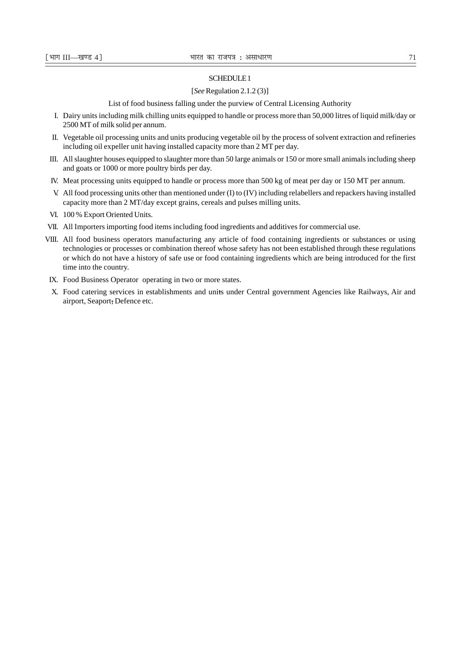#### SCHEDULE 1

#### [*See* Regulation 2.1.2 (3)]

#### List of food business falling under the purview of Central Licensing Authority

- I. Dairy units including milk chilling units equipped to handle or process more than 50,000 litres of liquid milk/day or 2500 MT of milk solid per annum.
- II. Vegetable oil processing units and units producing vegetable oil by the process of solvent extraction and refineries including oil expeller unit having installed capacity more than 2 MT per day.
- III. All slaughter houses equipped to slaughter more than 50 large animals or 150 or more small animals including sheep and goats or 1000 or more poultry birds per day.
- IV. Meat processing units equipped to handle or process more than 500 kg of meat per day or 150 MT per annum.
- V. All food processing units other than mentioned under (I) to (IV) including relabellers and repackers having installed capacity more than 2 MT/day except grains, cereals and pulses milling units.
- VI. 100 % Export Oriented Units.
- VII. All Importers importing food items including food ingredients and additives for commercial use.
- VIII. All food business operators manufacturing any article of food containing ingredients or substances or using technologies or processes or combination thereof whose safety has not been established through these regulations or which do not have a history of safe use or food containing ingredients which are being introduced for the first time into the country.
- IX. Food Business Operator operating in two or more states.
- X. Food catering services in establishments and units under Central government Agencies like Railways, Air and airport, Seaport, Defence etc.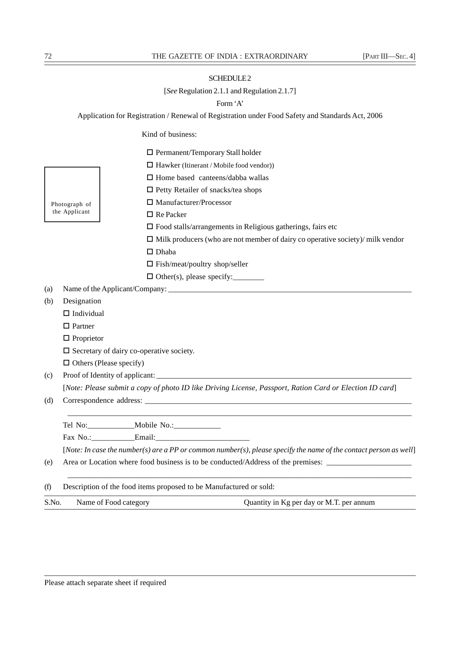#### SCHEDULE<sub>2</sub>

[*See* Regulation 2.1.1 and Regulation 2.1.7]

Form 'A'

Application for Registration / Renewal of Registration under Food Safety and Standards Act, 2006

Kind of business:

□ Permanent/Temporary Stall holder

 $\Box$  Hawker (Itinerant / Mobile food vendor))

 $\Box$  Home based canteens/dabba wallas

- □ Petty Retailer of snacks/tea shops
- Manufacturer/Processor

 $\Box$  Re Packer

- $\Box$  Food stalls/arrangements in Religious gatherings, fairs etc
- $\Box$  Milk producers (who are not member of dairy co operative society)/ milk vendor
- □ Dhaba
- $\Box$  Fish/meat/poultry shop/seller
- $\Box$  Other(s), please specify:

(a) Name of the Applicant/Company:  $\Box$ 

(b) Designation

Photograph of the Applicant

- $\Box$  Individual
- □ Partner
- $\square$  Proprietor
- $\square$  Secretary of dairy co-operative society.
- $\Box$  Others (Please specify)
- $(c)$  Proof of Identity of applicant:

[*Note: Please submit a copy of photo ID like Driving License, Passport, Ration Card or Election ID card*]

(d) Correspondence address: \_\_\_\_\_\_\_\_\_\_\_\_\_\_\_\_\_\_\_\_\_\_\_\_\_\_\_\_\_\_\_\_\_\_\_\_\_\_\_\_\_\_\_\_\_\_\_\_\_\_\_\_\_\_\_\_\_\_\_\_\_\_\_\_\_\_\_\_\_

Tel No:\_\_\_\_\_\_\_\_\_\_\_\_Mobile No.:\_\_\_\_\_\_\_\_\_\_\_\_

Fax No.: Email:

[*Note: In case the number(s) are a PP or common number(s), please specify the name of the contact person as well*]

\_\_\_\_\_\_\_\_\_\_\_\_\_\_\_\_\_\_\_\_\_\_\_\_\_\_\_\_\_\_\_\_\_\_\_\_\_\_\_\_\_\_\_\_\_\_\_\_\_\_\_\_\_\_\_\_\_\_\_\_\_\_\_\_\_\_\_\_\_\_\_\_\_\_\_\_\_\_\_\_\_\_\_\_\_\_\_\_\_

\_\_\_\_\_\_\_\_\_\_\_\_\_\_\_\_\_\_\_\_\_\_\_\_\_\_\_\_\_\_\_\_\_\_\_\_\_\_\_\_\_\_\_\_\_\_\_\_\_\_\_\_\_\_\_\_\_\_\_\_\_\_\_\_\_\_\_\_\_\_\_\_\_\_\_\_\_\_\_\_\_\_\_\_\_\_\_\_\_

- (e) Area or Location where food business is to be conducted/Address of the premises:
- (f) Description of the food items proposed to be Manufactured or sold:

| S.No. | Name of Food category | Quantity in Kg per day or M.T. per annum |
|-------|-----------------------|------------------------------------------|
|       |                       |                                          |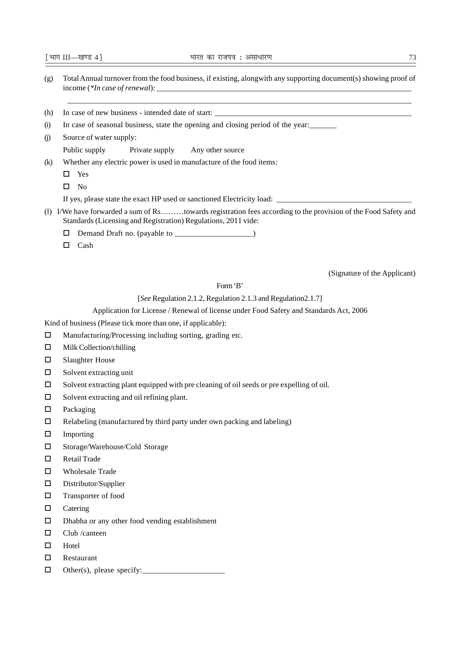(g) Total Annual turnover from the food business, if existing, alongwith any supporting document(s) showing proof of income (\*In case of renewal):

\_\_\_\_\_\_\_\_\_\_\_\_\_\_\_\_\_\_\_\_\_\_\_\_\_\_\_\_\_\_\_\_\_\_\_\_\_\_\_\_\_\_\_\_\_\_\_\_\_\_\_\_\_\_\_\_\_\_\_\_\_\_\_\_\_\_\_\_\_\_\_\_\_\_\_\_\_\_\_\_\_\_\_\_\_\_\_\_\_

- (h) In case of new business intended date of start:
- (i) In case of seasonal business, state the opening and closing period of the year:\_\_\_\_\_\_\_
- (j) Source of water supply:

Public supply Private supply Any other source

- (k) Whether any electric power is used in manufacture of the food items:
	- $\square$  Yes
	- $\square$  No

If yes, please state the exact HP used or sanctioned Electricity load: \_\_\_\_\_\_\_\_\_

- (l) I/We have forwarded a sum of Rs………towards registration fees according to the provision of the Food Safety and Standards (Licensing and Registration) Regulations, 2011 vide:
	- $\Box$  Demand Draft no. (payable to \_\_\_\_\_\_\_\_\_\_\_\_\_\_\_\_\_\_\_\_)
	- $\Box$  Cash

(Signature of the Applicant)

## Form 'B'

## [*See* Regulation 2.1.2, Regulation 2.1.3 and Regulation2.1.7]

Application for License / Renewal of license under Food Safety and Standards Act, 2006

#### Kind of business (Please tick more than one, if applicable):

- $\Box$  Manufacturing/Processing including sorting, grading etc.
- $\Box$  Milk Collection/chilling
- □ Slaughter House
- $\square$  Solvent extracting unit
- $\square$  Solvent extracting plant equipped with pre cleaning of oil seeds or pre expelling of oil.
- $\square$  Solvent extracting and oil refining plant.
- □ Packaging
- $\Box$  Relabeling (manufactured by third party under own packing and labeling)
- $\square$  Importing
- Storage/Warehouse/Cold Storage
- □ Retail Trade
- Wholesale Trade
- $\square$  Distributor/Supplier
- □ Transporter of food
- $\Box$  Catering
- $\square$  Dhabha or any other food vending establishment
- $\square$  Club /canteen
- $\Box$  Hotel
- Restaurant
- $\Box$  Other(s), please specify: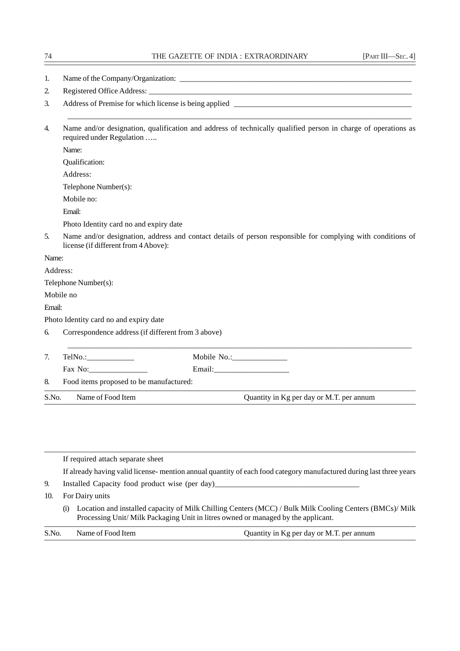| Name of the Company/Organization: |
|-----------------------------------|
|-----------------------------------|

- 2. Registered Office Address:
- 3. Address of Premise for which license is being applied \_\_\_\_\_\_\_\_\_\_\_\_\_\_\_\_\_\_\_\_\_\_\_\_\_\_\_\_\_\_\_\_\_\_\_\_\_\_\_\_\_\_\_\_\_\_
- 4. Name and/or designation, qualification and address of technically qualified person in charge of operations as required under Regulation …..

\_\_\_\_\_\_\_\_\_\_\_\_\_\_\_\_\_\_\_\_\_\_\_\_\_\_\_\_\_\_\_\_\_\_\_\_\_\_\_\_\_\_\_\_\_\_\_\_\_\_\_\_\_\_\_\_\_\_\_\_\_\_\_\_\_\_\_\_\_\_\_\_\_\_\_\_\_\_\_\_\_\_\_\_\_\_\_\_\_

Name:

Qualification:

Address:

Telephone Number(s):

Mobile no:

Email:

Photo Identity card no and expiry date

5. Name and/or designation, address and contact details of person responsible for complying with conditions of license (if different from 4 Above):

Name:

Address:

Telephone Number(s):

Mobile no

Email:

Photo Identity card no and expiry date

6. Correspondence address (if different from 3 above)

|       | TelNo.:                                 | Mobile No.:                              |  |  |  |  |
|-------|-----------------------------------------|------------------------------------------|--|--|--|--|
|       | Fax No:                                 | Email:                                   |  |  |  |  |
|       | Food items proposed to be manufactured: |                                          |  |  |  |  |
| S.No. | Name of Food Item                       | Quantity in Kg per day or M.T. per annum |  |  |  |  |

\_\_\_\_\_\_\_\_\_\_\_\_\_\_\_\_\_\_\_\_\_\_\_\_\_\_\_\_\_\_\_\_\_\_\_\_\_\_\_\_\_\_\_\_\_\_\_\_\_\_\_\_\_\_\_\_\_\_\_\_\_\_\_\_\_\_\_\_\_\_\_\_\_\_\_\_\_\_\_\_\_\_\_\_\_\_\_\_\_

If required attach separate sheet

If already having valid license- mention annual quantity of each food category manufactured during last three years

- 9. Installed Capacity food product wise (per day)
- 10. For Dairy units
	- (i) Location and installed capacity of Milk Chilling Centers (MCC) / Bulk Milk Cooling Centers (BMCs)/ Milk Processing Unit/ Milk Packaging Unit in litres owned or managed by the applicant.

| S.No. | Name of Food Item | Quantity in Kg per day or M.T. per annum |
|-------|-------------------|------------------------------------------|
|       |                   |                                          |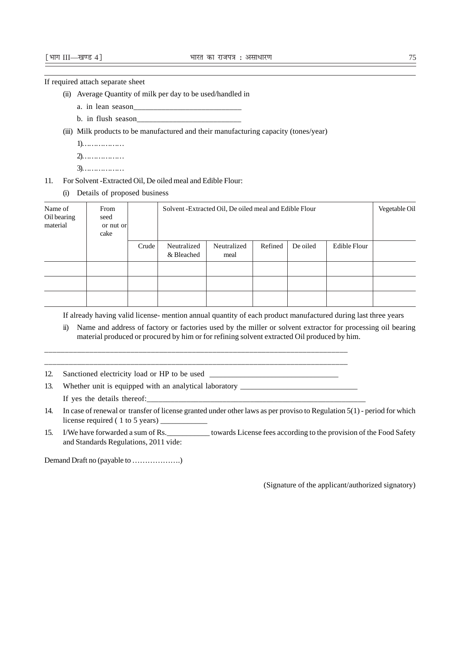If required attach separate sheet

- (ii) Average Quantity of milk per day to be used/handled in
	- a. in lean season
	- b. in flush season\_\_\_\_\_\_\_\_\_\_\_\_\_\_\_\_\_\_\_\_\_\_\_\_\_\_
- (iii) Milk products to be manufactured and their manufacturing capacity (tones/year)

```
1)………………
```

```
2)………………
```

```
3)………………
```
- 11. For Solvent -Extracted Oil, De oiled meal and Edible Flour:
	- (i) Details of proposed business

| Name of<br>Oil bearing<br>material | From<br>seed<br>or nut or<br>cake |       | Solvent - Extracted Oil, De oiled meal and Edible Flour | Vegetable Oil       |         |          |              |  |
|------------------------------------|-----------------------------------|-------|---------------------------------------------------------|---------------------|---------|----------|--------------|--|
|                                    |                                   | Crude | Neutralized<br>& Bleached                               | Neutralized<br>meal | Refined | De oiled | Edible Flour |  |
|                                    |                                   |       |                                                         |                     |         |          |              |  |
|                                    |                                   |       |                                                         |                     |         |          |              |  |
|                                    |                                   |       |                                                         |                     |         |          |              |  |

If already having valid license- mention annual quantity of each product manufactured during last three years

ii) Name and address of factory or factories used by the miller or solvent extractor for processing oil bearing material produced or procured by him or for refining solvent extracted Oil produced by him.

\_\_\_\_\_\_\_\_\_\_\_\_\_\_\_\_\_\_\_\_\_\_\_\_\_\_\_\_\_\_\_\_\_\_\_\_\_\_\_\_\_\_\_\_\_\_\_\_\_\_\_\_\_\_\_\_\_\_\_\_\_\_\_\_\_\_\_\_\_\_\_\_\_\_ 12. Sanctioned electricity load or HP to be used \_\_\_\_\_\_\_\_\_\_\_\_\_\_\_\_\_\_\_\_\_\_\_\_\_\_\_\_\_\_\_

\_\_\_\_\_\_\_\_\_\_\_\_\_\_\_\_\_\_\_\_\_\_\_\_\_\_\_\_\_\_\_\_\_\_\_\_\_\_\_\_\_\_\_\_\_\_\_\_\_\_\_\_\_\_\_\_\_\_\_\_\_\_\_\_\_\_\_\_\_\_\_\_\_\_

13. Whether unit is equipped with an analytical laboratory  $\overline{\phantom{a}}$ If yes the details thereof:

- 14. In case of renewal or transfer of license granted under other laws as per proviso to Regulation 5(1) period for which license required (1 to 5 years)
- 15. I/We have forwarded a sum of Rs.\_\_\_\_\_\_\_\_\_\_\_ towards License fees according to the provision of the Food Safety and Standards Regulations, 2011 vide:

Demand Draft no (payable to ……………….)

(Signature of the applicant/authorized signatory)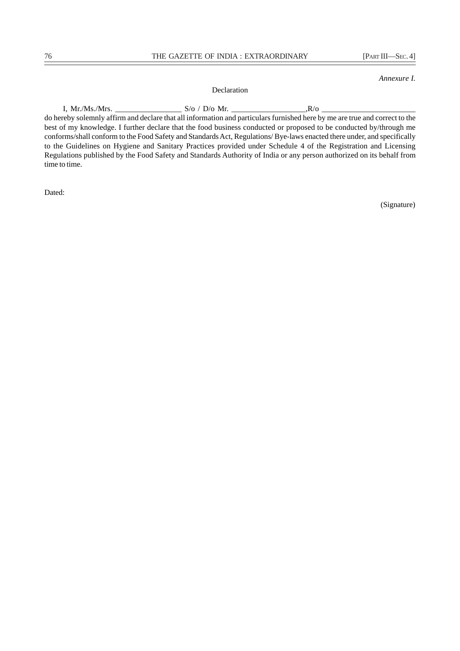## THE GAZETTE OF INDIA : EXTRAORDINARY [PART III—SEC. 4]

*Annexure I.*

Declaration

I, Mr./Ms./Mrs. \_\_\_\_\_\_\_\_\_\_\_\_\_\_\_\_\_ S/o / D/o Mr. \_\_\_\_\_\_\_\_\_\_\_\_\_\_\_\_\_\_\_,R/o \_\_\_\_\_\_\_\_\_\_\_\_\_\_\_\_\_\_\_\_\_\_\_\_ do hereby solemnly affirm and declare that all information and particulars furnished here by me are true and correct to the best of my knowledge. I further declare that the food business conducted or proposed to be conducted by/through me conforms/shall conform to the Food Safety and Standards Act, Regulations/ Bye-laws enacted there under, and specifically

to the Guidelines on Hygiene and Sanitary Practices provided under Schedule 4 of the Registration and Licensing Regulations published by the Food Safety and Standards Authority of India or any person authorized on its behalf from time to time.

Dated:

(Signature)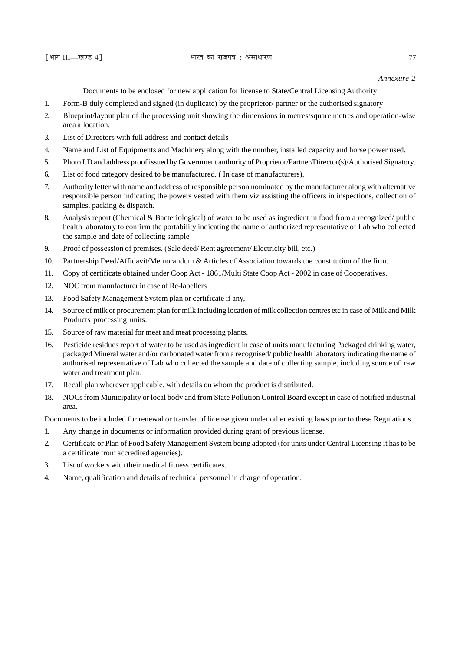#### *Annexure-2*

Documents to be enclosed for new application for license to State/Central Licensing Authority

- 1. Form-B duly completed and signed (in duplicate) by the proprietor/ partner or the authorised signatory
- 2. Blueprint/layout plan of the processing unit showing the dimensions in metres/square metres and operation-wise area allocation.
- 3. List of Directors with full address and contact details
- 4. Name and List of Equipments and Machinery along with the number, installed capacity and horse power used.
- 5. Photo I.D and address proof issued by Government authority of Proprietor/Partner/Director(s)/Authorised Signatory.
- 6. List of food category desired to be manufactured. ( In case of manufacturers).
- 7. Authority letter with name and address of responsible person nominated by the manufacturer along with alternative responsible person indicating the powers vested with them viz assisting the officers in inspections, collection of samples, packing & dispatch.
- 8. Analysis report (Chemical & Bacteriological) of water to be used as ingredient in food from a recognized/ public health laboratory to confirm the portability indicating the name of authorized representative of Lab who collected the sample and date of collecting sample
- 9. Proof of possession of premises. (Sale deed/ Rent agreement/ Electricity bill, etc.)
- 10. Partnership Deed/Affidavit/Memorandum & Articles of Association towards the constitution of the firm.
- 11. Copy of certificate obtained under Coop Act 1861/Multi State Coop Act 2002 in case of Cooperatives.
- 12. NOC from manufacturer in case of Re-labellers
- 13. Food Safety Management System plan or certificate if any,
- 14. Source of milk or procurement plan for milk including location of milk collection centres etc in case of Milk and Milk Products processing units.
- 15. Source of raw material for meat and meat processing plants.
- 16. Pesticide residues report of water to be used as ingredient in case of units manufacturing Packaged drinking water, packaged Mineral water and/or carbonated water from a recognised/ public health laboratory indicating the name of authorised representative of Lab who collected the sample and date of collecting sample, including source of raw water and treatment plan.
- 17. Recall plan wherever applicable, with details on whom the product is distributed.
- 18. NOCs from Municipality or local body and from State Pollution Control Board except in case of notified industrial area.

Documents to be included for renewal or transfer of license given under other existing laws prior to these Regulations

- 1. Any change in documents or information provided during grant of previous license.
- 2. Certificate or Plan of Food Safety Management System being adopted (for units under Central Licensing it has to be a certificate from accredited agencies).
- 3. List of workers with their medical fitness certificates.
- 4. Name, qualification and details of technical personnel in charge of operation.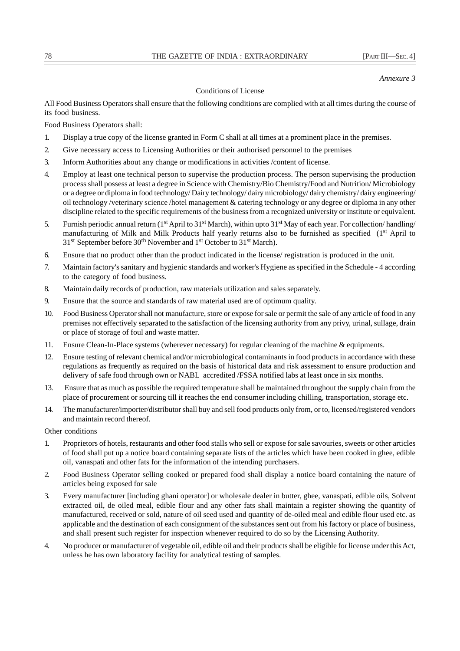*Annexure 3*

#### Conditions of License

All Food Business Operators shall ensure that the following conditions are complied with at all times during the course of its food business.

Food Business Operators shall:

- 1. Display a true copy of the license granted in Form C shall at all times at a prominent place in the premises.
- 2. Give necessary access to Licensing Authorities or their authorised personnel to the premises
- 3. Inform Authorities about any change or modifications in activities /content of license.
- 4. Employ at least one technical person to supervise the production process. The person supervising the production process shall possess at least a degree in Science with Chemistry/Bio Chemistry/Food and Nutrition/ Microbiology or a degree or diploma in food technology/ Dairy technology/ dairy microbiology/ dairy chemistry/ dairy engineering/ oil technology /veterinary science /hotel management & catering technology or any degree or diploma in any other discipline related to the specific requirements of the business from a recognized university or institute or equivalent.
- 5. Furnish periodic annual return (1st April to 31st March), within upto 31st May of each year. For collection/ handling/ manufacturing of Milk and Milk Products half yearly returns also to be furnished as specified (1st April to 31<sup>st</sup> September before 30<sup>th</sup> November and 1<sup>st</sup> October to 31<sup>st</sup> March).
- 6. Ensure that no product other than the product indicated in the license/ registration is produced in the unit.
- 7. Maintain factory's sanitary and hygienic standards and worker's Hygiene as specified in the Schedule 4 according to the category of food business.
- 8. Maintain daily records of production, raw materials utilization and sales separately.
- 9. Ensure that the source and standards of raw material used are of optimum quality.
- 10. Food Business Operator shall not manufacture, store or expose for sale or permit the sale of any article of food in any premises not effectively separated to the satisfaction of the licensing authority from any privy, urinal, sullage, drain or place of storage of foul and waste matter.
- 11. Ensure Clean-In-Place systems (wherever necessary) for regular cleaning of the machine & equipments.
- 12. Ensure testing of relevant chemical and/or microbiological contaminants in food products in accordance with these regulations as frequently as required on the basis of historical data and risk assessment to ensure production and delivery of safe food through own or NABL accredited /FSSA notified labs at least once in six months.
- 13. Ensure that as much as possible the required temperature shall be maintained throughout the supply chain from the place of procurement or sourcing till it reaches the end consumer including chilling, transportation, storage etc.
- 14. The manufacturer/importer/distributor shall buy and sell food products only from, or to, licensed/registered vendors and maintain record thereof.

Other conditions

- 1. Proprietors of hotels, restaurants and other food stalls who sell or expose for sale savouries, sweets or other articles of food shall put up a notice board containing separate lists of the articles which have been cooked in ghee, edible oil, vanaspati and other fats for the information of the intending purchasers.
- 2. Food Business Operator selling cooked or prepared food shall display a notice board containing the nature of articles being exposed for sale
- 3. Every manufacturer [including ghani operator] or wholesale dealer in butter, ghee, vanaspati, edible oils, Solvent extracted oil, de oiled meal, edible flour and any other fats shall maintain a register showing the quantity of manufactured, received or sold, nature of oil seed used and quantity of de-oiled meal and edible flour used etc. as applicable and the destination of each consignment of the substances sent out from his factory or place of business, and shall present such register for inspection whenever required to do so by the Licensing Authority.
- 4. No producer or manufacturer of vegetable oil, edible oil and their products shall be eligible for license under this Act, unless he has own laboratory facility for analytical testing of samples.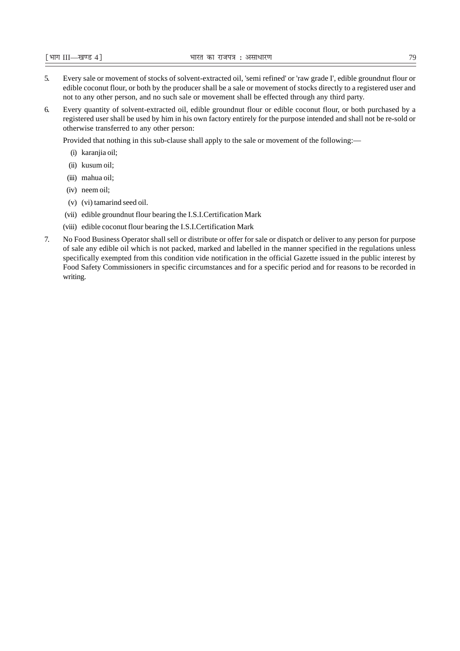- 5. Every sale or movement of stocks of solvent-extracted oil, 'semi refined' or 'raw grade I', edible groundnut flour or edible coconut flour, or both by the producer shall be a sale or movement of stocks directly to a registered user and not to any other person, and no such sale or movement shall be effected through any third party.
- 6. Every quantity of solvent-extracted oil, edible groundnut flour or edible coconut flour, or both purchased by a registered user shall be used by him in his own factory entirely for the purpose intended and shall not be re-sold or otherwise transferred to any other person:

Provided that nothing in this sub-clause shall apply to the sale or movement of the following:—

- (i) karanjia oil;
- (ii) kusum oil;
- (iii) mahua oil;
- (iv) neem oil;
- (v) (vi) tamarind seed oil.
- (vii) edible groundnut flour bearing the I.S.I.Certification Mark
- (viii) edible coconut flour bearing the I.S.I.Certification Mark
- 7. No Food Business Operator shall sell or distribute or offer for sale or dispatch or deliver to any person for purpose of sale any edible oil which is not packed, marked and labelled in the manner specified in the regulations unless specifically exempted from this condition vide notification in the official Gazette issued in the public interest by Food Safety Commissioners in specific circumstances and for a specific period and for reasons to be recorded in writing.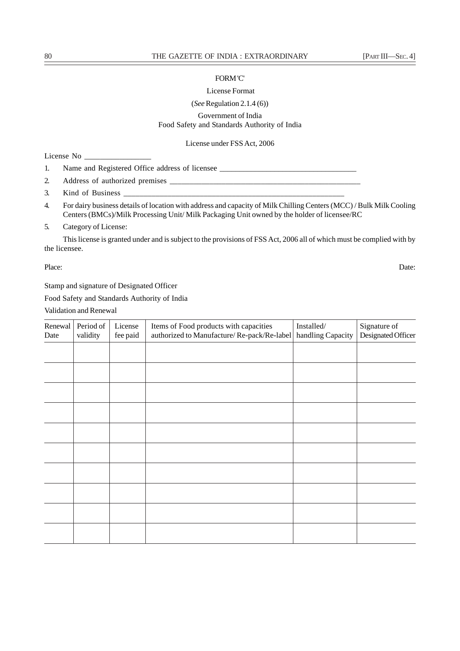## FORM 'C'

## License Format (*See* Regulation 2.1.4 (6))

## Government of India Food Safety and Standards Authority of India

License under FSS Act, 2006

License No \_\_\_\_\_\_\_\_\_\_\_\_\_\_\_\_\_

|  | Name and Registered Office address of licensee |  |
|--|------------------------------------------------|--|
|  |                                                |  |

2. Address of authorized premises \_\_\_\_\_\_\_\_\_\_\_\_\_\_\_\_\_\_\_\_\_\_\_\_\_\_\_\_\_\_\_\_\_\_\_\_\_\_\_\_\_\_\_\_\_\_\_\_

- 3. Kind of Business
- 4. For dairy business details of location with address and capacity of Milk Chilling Centers (MCC) / Bulk Milk Cooling Centers (BMCs)/Milk Processing Unit/ Milk Packaging Unit owned by the holder of licensee/RC

5. Category of License:

This license is granted under and is subject to the provisions of FSS Act, 2006 all of which must be complied with by the licensee.

Place: Date: Date: Date: Date: Date: Date: Date: Date: Date: Date: Date: Date: Date: Date: Date: Date: Date: Date: Date: Date: Date: Date: Date: Date: Date: Date: Date: Date: Date: Date: Date: Date: Date: Date: Date: Date:

Stamp and signature of Designated Officer

Food Safety and Standards Authority of India

Validation and Renewal

| Renewal<br>Date | Period of<br>validity | License<br>fee paid | Items of Food products with capacities<br>authorized to Manufacture/Re-pack/Re-label | Installed/<br>handling Capacity | Signature of<br>Designated Officer |
|-----------------|-----------------------|---------------------|--------------------------------------------------------------------------------------|---------------------------------|------------------------------------|
|                 |                       |                     |                                                                                      |                                 |                                    |
|                 |                       |                     |                                                                                      |                                 |                                    |
|                 |                       |                     |                                                                                      |                                 |                                    |
|                 |                       |                     |                                                                                      |                                 |                                    |
|                 |                       |                     |                                                                                      |                                 |                                    |
|                 |                       |                     |                                                                                      |                                 |                                    |
|                 |                       |                     |                                                                                      |                                 |                                    |
|                 |                       |                     |                                                                                      |                                 |                                    |
|                 |                       |                     |                                                                                      |                                 |                                    |
|                 |                       |                     |                                                                                      |                                 |                                    |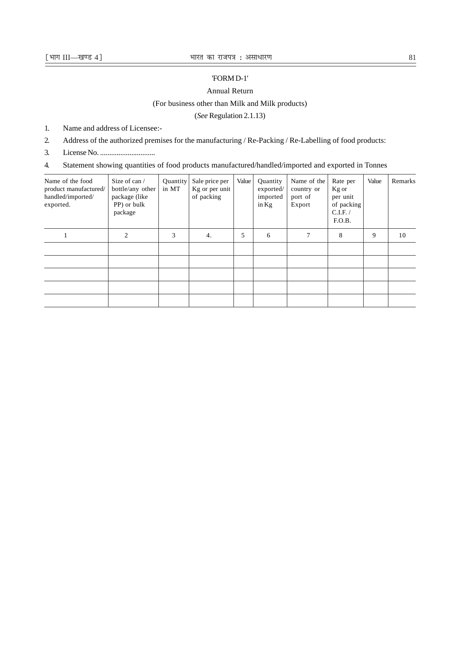#### 'FORM D-1'

#### Annual Return

### (For business other than Milk and Milk products)

## (*See* Regulation 2.1.13)

1. Name and address of Licensee:-

- 2. Address of the authorized premises for the manufacturing / Re-Packing / Re-Labelling of food products:
- 3. License No. ..............................
- 4. Statement showing quantities of food products manufactured/handled/imported and exported in Tonnes

| Name of the food<br>product manufactured/<br>handled/imported/<br>exported. | Size of can $/$<br>bottle/any other<br>package (like<br>PP) or bulk<br>package | Quantity<br>in MT | Sale price per<br>Kg or per unit<br>of packing | Value | Quantity<br>exported/<br>imported<br>in $Kg$ | Name of the<br>country or<br>port of<br>Export | Rate per<br>Kg or<br>per unit<br>of packing<br>C.I.F. /<br>F.O.B. | Value | Remarks |
|-----------------------------------------------------------------------------|--------------------------------------------------------------------------------|-------------------|------------------------------------------------|-------|----------------------------------------------|------------------------------------------------|-------------------------------------------------------------------|-------|---------|
|                                                                             | 2                                                                              | 3                 | 4.                                             | 5     | 6                                            | 7                                              | 8                                                                 | 9     | 10      |
|                                                                             |                                                                                |                   |                                                |       |                                              |                                                |                                                                   |       |         |
|                                                                             |                                                                                |                   |                                                |       |                                              |                                                |                                                                   |       |         |
|                                                                             |                                                                                |                   |                                                |       |                                              |                                                |                                                                   |       |         |
|                                                                             |                                                                                |                   |                                                |       |                                              |                                                |                                                                   |       |         |
|                                                                             |                                                                                |                   |                                                |       |                                              |                                                |                                                                   |       |         |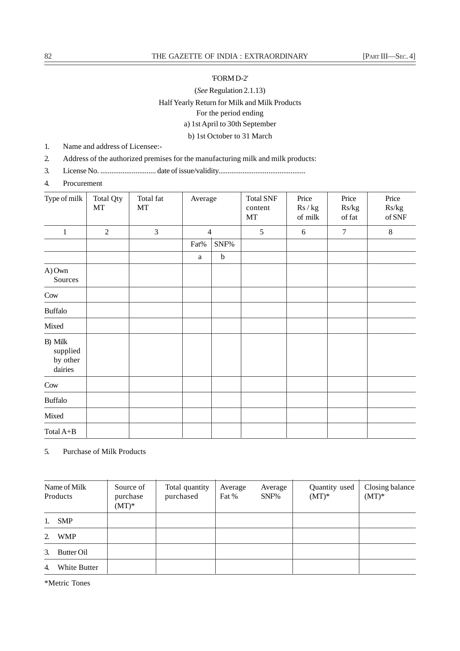#### 'FORM D-2'

## (*See* Regulation 2.1.13) Half Yearly Return for Milk and Milk Products For the period ending

a) 1st April to 30th September

b) 1st October to 31 March

1. Name and address of Licensee:-

2. Address of the authorized premises for the manufacturing milk and milk products:

3. License No. .............................. date of issue/validity...............................................

4. Procurement

| Type of milk                               | <b>Total Qty</b><br>MT | Total fat<br>MT | Average |                | <b>Total SNF</b><br>content<br>MT | Price<br>Rs/kg<br>of milk | Price<br>Rs/kg<br>of fat | Price<br>Rs/kg<br>of SNF |
|--------------------------------------------|------------------------|-----------------|---------|----------------|-----------------------------------|---------------------------|--------------------------|--------------------------|
| $\mathbf{1}$                               | $\overline{2}$         | $\overline{3}$  |         | $\overline{4}$ | 5                                 | 6                         | $\overline{7}$           | $\,8\,$                  |
|                                            |                        |                 | Fat%    | SNF%           |                                   |                           |                          |                          |
|                                            |                        |                 | a       | $\mathbf b$    |                                   |                           |                          |                          |
| A) Own<br>Sources                          |                        |                 |         |                |                                   |                           |                          |                          |
| Cow                                        |                        |                 |         |                |                                   |                           |                          |                          |
| <b>Buffalo</b>                             |                        |                 |         |                |                                   |                           |                          |                          |
| Mixed                                      |                        |                 |         |                |                                   |                           |                          |                          |
| B) Milk<br>supplied<br>by other<br>dairies |                        |                 |         |                |                                   |                           |                          |                          |
| Cow                                        |                        |                 |         |                |                                   |                           |                          |                          |
| <b>Buffalo</b>                             |                        |                 |         |                |                                   |                           |                          |                          |
| Mixed                                      |                        |                 |         |                |                                   |                           |                          |                          |
| Total $A+B$                                |                        |                 |         |                |                                   |                           |                          |                          |

5. Purchase of Milk Products

| Name of Milk<br>Products |              | Source of<br>purchase<br>$(MT)^*$ | Total quantity<br>purchased | Average<br>Fat % | Average<br>SNF% | Quantity used<br>$(MT)^*$ | Closing balance<br>$(MT)^*$ |
|--------------------------|--------------|-----------------------------------|-----------------------------|------------------|-----------------|---------------------------|-----------------------------|
| 1.                       | <b>SMP</b>   |                                   |                             |                  |                 |                           |                             |
| $2^{\circ}$              | <b>WMP</b>   |                                   |                             |                  |                 |                           |                             |
| 3.                       | Butter Oil   |                                   |                             |                  |                 |                           |                             |
| 4.                       | White Butter |                                   |                             |                  |                 |                           |                             |

\*Metric Tones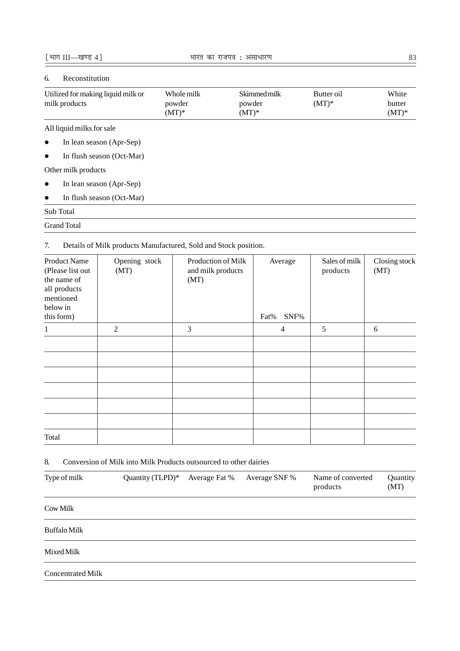## 6. Reconstitution

| Utilized for making liquid milk or<br>milk products | Whole milk<br>powder<br>$(MT)^*$ | Skimmed milk<br>powder<br>$(MT)^*$ | Butter oil<br>$(MT)^*$ | White<br>butter<br>$(MT)^*$ |
|-----------------------------------------------------|----------------------------------|------------------------------------|------------------------|-----------------------------|
| All liquid milks for sale                           |                                  |                                    |                        |                             |
| In lean season (Apr-Sep)<br>$\bullet$               |                                  |                                    |                        |                             |
| In flush season (Oct-Mar)<br>$\bullet$              |                                  |                                    |                        |                             |
| Other milk products                                 |                                  |                                    |                        |                             |
| In lean season (Apr-Sep)<br>$\bullet$               |                                  |                                    |                        |                             |
| In flush season (Oct-Mar)<br>$\bullet$              |                                  |                                    |                        |                             |
| Sub Total                                           |                                  |                                    |                        |                             |

## Grand Total

## 7. Details of Milk products Manufactured, Sold and Stock position.

| <b>Product Name</b><br>(Please list out<br>the name of<br>all products<br>mentioned<br>below in<br>this form) | Opening stock<br>(MT) | Production of Milk<br>and milk products<br>(MT) | Average<br>SNF%<br>Fat% | Sales of milk<br>products | Closing stock<br>(MT) |
|---------------------------------------------------------------------------------------------------------------|-----------------------|-------------------------------------------------|-------------------------|---------------------------|-----------------------|
| $\mathbf{1}$                                                                                                  | $\overline{2}$        | 3                                               | $\overline{4}$          | 5                         | 6                     |
|                                                                                                               |                       |                                                 |                         |                           |                       |
|                                                                                                               |                       |                                                 |                         |                           |                       |
|                                                                                                               |                       |                                                 |                         |                           |                       |
|                                                                                                               |                       |                                                 |                         |                           |                       |
|                                                                                                               |                       |                                                 |                         |                           |                       |
|                                                                                                               |                       |                                                 |                         |                           |                       |
| Total                                                                                                         |                       |                                                 |                         |                           |                       |

8. Conversion of Milk into Milk Products outsourced to other dairies

| Type of milk             | Quantity (TLPD)* | Average Fat % | Average SNF % | Name of converted<br>products | Quantity<br>(MT) |
|--------------------------|------------------|---------------|---------------|-------------------------------|------------------|
| Cow Milk                 |                  |               |               |                               |                  |
| <b>Buffalo Milk</b>      |                  |               |               |                               |                  |
| Mixed Milk               |                  |               |               |                               |                  |
| <b>Concentrated Milk</b> |                  |               |               |                               |                  |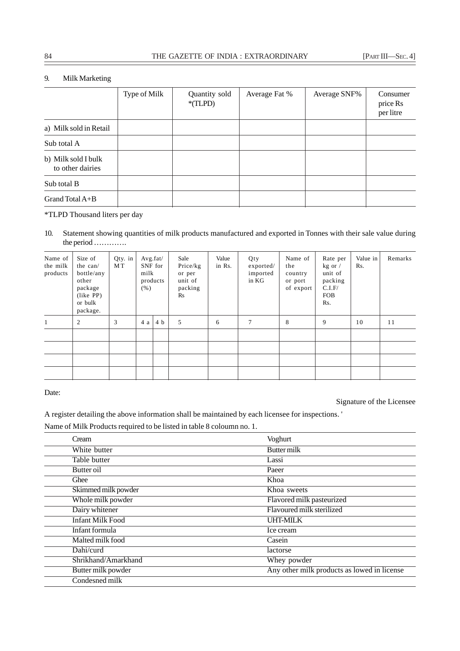# 84 THE GAZETTE OF INDIA : EXTRAORDINARY [PART III—SEC. 4]

## 9. Milk Marketing

| Type of Milk | Quantity sold<br>$*(TLPD)$ | Average Fat % | Average SNF% | Consumer<br>price Rs<br>per litre |
|--------------|----------------------------|---------------|--------------|-----------------------------------|
|              |                            |               |              |                                   |
|              |                            |               |              |                                   |
|              |                            |               |              |                                   |
|              |                            |               |              |                                   |
|              |                            |               |              |                                   |
|              |                            |               |              |                                   |

## \*TLPD Thousand liters per day

10. Statement showing quantities of milk products manufactured and exported in Tonnes with their sale value during the period ………….

| Name of<br>the milk<br>products | Size of<br>the $can/$<br>bottle/any<br>other<br>package<br>(like PP)<br>or bulk<br>package. | Qty. in<br>M T | Avg.fat/<br>SNF for<br>milk<br>(% ) | products | Sale<br>Price/kg<br>or per<br>unit of<br>packing<br>Rs | Value<br>in Rs. | Qty<br>exported/<br>imported<br>in KG | Name of<br>the<br>country<br>or port<br>of export | Rate per<br>$kg$ or /<br>unit of<br>packing<br>C.I.F/<br><b>FOB</b><br>Rs. | Value in<br>Rs. | Remarks |
|---------------------------------|---------------------------------------------------------------------------------------------|----------------|-------------------------------------|----------|--------------------------------------------------------|-----------------|---------------------------------------|---------------------------------------------------|----------------------------------------------------------------------------|-----------------|---------|
| 1                               | $\overline{2}$                                                                              | 3              | 4 a                                 | 4 b      | 5                                                      | 6               | 7                                     | 8                                                 | 9                                                                          | 10              | 11      |
|                                 |                                                                                             |                |                                     |          |                                                        |                 |                                       |                                                   |                                                                            |                 |         |
|                                 |                                                                                             |                |                                     |          |                                                        |                 |                                       |                                                   |                                                                            |                 |         |
|                                 |                                                                                             |                |                                     |          |                                                        |                 |                                       |                                                   |                                                                            |                 |         |

## Date:

## Signature of the Licensee

A register detailing the above information shall be maintained by each licensee for inspections. '

| Cream                   | Voghurt                                     |
|-------------------------|---------------------------------------------|
| White butter            | Butter milk                                 |
| Table butter            | Lassi                                       |
| Butter oil              | Paeer                                       |
| Ghee                    | Khoa                                        |
| Skimmed milk powder     | Khoa sweets                                 |
| Whole milk powder       | Flavored milk pasteurized                   |
| Dairy whitener          | Flavoured milk sterilized                   |
| <b>Infant Milk Food</b> | <b>UHT-MILK</b>                             |
| Infant formula          | Ice cream                                   |
| Malted milk food        | Casein                                      |
| Dahi/curd               | lactorse                                    |
| Shrikhand/Amarkhand     | Whey powder                                 |
| Butter milk powder      | Any other milk products as lowed in license |
| Condesned milk          |                                             |

## $N_{\text{max}}$  of  $M$ ille Due ducts as quired to be listed in table  $8$  coloumn no.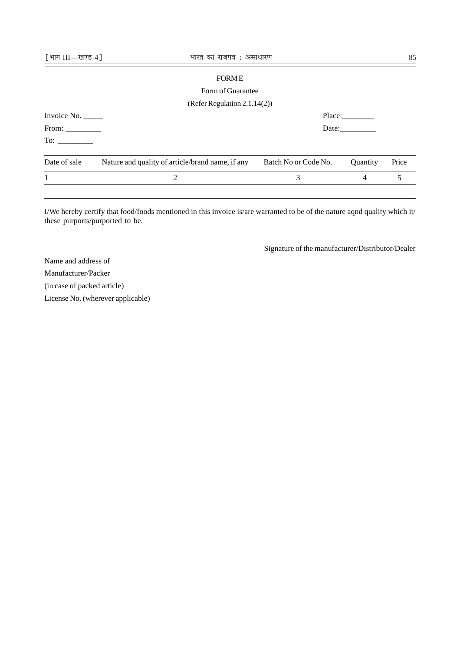#### **FORM E**

## Form of Guarantee

## (Refer Regulation 2.1.14(2))

| Invoice No. _____                                                                                                                                                                                                                                                                                                                                                                                                                  |                                                  | Place:                                                                    |                 |       |  |  |
|------------------------------------------------------------------------------------------------------------------------------------------------------------------------------------------------------------------------------------------------------------------------------------------------------------------------------------------------------------------------------------------------------------------------------------|--------------------------------------------------|---------------------------------------------------------------------------|-----------------|-------|--|--|
| From: $\frac{1}{\sqrt{1-\frac{1}{2}}\cdot\sqrt{1-\frac{1}{2}}\cdot\sqrt{1-\frac{1}{2}}\cdot\sqrt{1-\frac{1}{2}}\cdot\sqrt{1-\frac{1}{2}}\cdot\sqrt{1-\frac{1}{2}}\cdot\sqrt{1-\frac{1}{2}}\cdot\sqrt{1-\frac{1}{2}}\cdot\sqrt{1-\frac{1}{2}}\cdot\sqrt{1-\frac{1}{2}}\cdot\sqrt{1-\frac{1}{2}}\cdot\sqrt{1-\frac{1}{2}}\cdot\sqrt{1-\frac{1}{2}}\cdot\sqrt{1-\frac{1}{2}}\cdot\sqrt{1-\frac{1}{2}}\cdot\sqrt{1-\frac{1}{2}}\cdot\$ |                                                  | Date: $\frac{1}{\sqrt{1-\frac{1}{2}}\cdot\frac{1}{\sqrt{1-\frac{1}{2}}}}$ |                 |       |  |  |
|                                                                                                                                                                                                                                                                                                                                                                                                                                    |                                                  |                                                                           |                 |       |  |  |
| Date of sale                                                                                                                                                                                                                                                                                                                                                                                                                       | Nature and quality of article/brand name, if any | Batch No or Code No.                                                      | <b>Ouantity</b> | Price |  |  |
| -1                                                                                                                                                                                                                                                                                                                                                                                                                                 |                                                  |                                                                           |                 |       |  |  |
|                                                                                                                                                                                                                                                                                                                                                                                                                                    |                                                  |                                                                           |                 |       |  |  |

I/We hereby certify that food/foods mentioned in this invoice is/are warranted to be of the nature aqnd quality which it/ these purports/purported to be.

Signature of the manufacturer/Distributor/Dealer

Name and address of Manufacturer/Packer (in case of packed article) License No. (wherever applicable)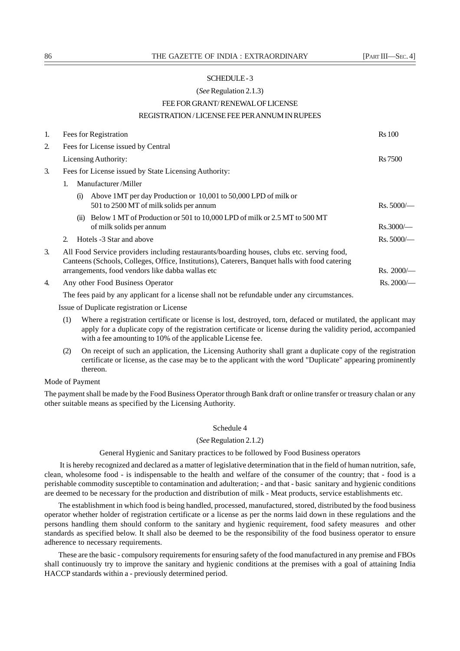## SCHEDULE - 3

#### (*See* Regulation 2.1.3)

#### FEE FOR GRANT/ RENEWAL OF LICENSE

#### REGISTRATION / LICENSE FEE PER ANNUM IN RUPEES

| 1.               | Fees for Registration                                                                                                                                                                                                                            | <b>Rs</b> 100 |  |  |
|------------------|--------------------------------------------------------------------------------------------------------------------------------------------------------------------------------------------------------------------------------------------------|---------------|--|--|
| $\overline{2}$ . | Fees for License issued by Central                                                                                                                                                                                                               |               |  |  |
|                  | Licensing Authority:                                                                                                                                                                                                                             | Rs 7500       |  |  |
| 3.               | Fees for License issued by State Licensing Authority:                                                                                                                                                                                            |               |  |  |
|                  | Manufacturer/Miller<br>1.                                                                                                                                                                                                                        |               |  |  |
|                  | Above 1MT per day Production or 10,001 to 50,000 LPD of milk or<br>(i)<br>501 to 2500 MT of milk solids per annum                                                                                                                                | Rs.5000/      |  |  |
|                  | Below 1 MT of Production or 501 to 10,000 LPD of milk or 2.5 MT to 500 MT<br>(11)<br>of milk solids per annum                                                                                                                                    | Rs.3000/      |  |  |
|                  | Hotels -3 Star and above<br>$2^{x}$                                                                                                                                                                                                              | Rs.5000/      |  |  |
| 3.               | All Food Service providers including restaurants/boarding houses, clubs etc. serving food,<br>Canteens (Schools, Colleges, Office, Institutions), Caterers, Banquet halls with food catering<br>arrangements, food vendors like dabba wallas etc | Rs. 2000/     |  |  |
| 4.               | Any other Food Business Operator                                                                                                                                                                                                                 | $Rs. 2000/-$  |  |  |
|                  |                                                                                                                                                                                                                                                  |               |  |  |

The fees paid by any applicant for a license shall not be refundable under any circumstances.

Issue of Duplicate registration or License

- (1) Where a registration certificate or license is lost, destroyed, torn, defaced or mutilated, the applicant may apply for a duplicate copy of the registration certificate or license during the validity period, accompanied with a fee amounting to 10% of the applicable License fee.
- (2) On receipt of such an application, the Licensing Authority shall grant a duplicate copy of the registration certificate or license, as the case may be to the applicant with the word "Duplicate" appearing prominently thereon.

Mode of Payment

The payment shall be made by the Food Business Operator through Bank draft or online transfer or treasury chalan or any other suitable means as specified by the Licensing Authority.

## Schedule 4

#### (*See* Regulation 2.1.2)

#### General Hygienic and Sanitary practices to be followed by Food Business operators

 It is hereby recognized and declared as a matter of legislative determination that in the field of human nutrition, safe, clean, wholesome food - is indispensable to the health and welfare of the consumer of the country; that - food is a perishable commodity susceptible to contamination and adulteration; - and that - basic sanitary and hygienic conditions are deemed to be necessary for the production and distribution of milk - Meat products, service establishments etc.

The establishment in which food is being handled, processed, manufactured, stored, distributed by the food business operator whether holder of registration certificate or a license as per the norms laid down in these regulations and the persons handling them should conform to the sanitary and hygienic requirement, food safety measures and other standards as specified below. It shall also be deemed to be the responsibility of the food business operator to ensure adherence to necessary requirements.

These are the basic - compulsory requirements for ensuring safety of the food manufactured in any premise and FBOs shall continuously try to improve the sanitary and hygienic conditions at the premises with a goal of attaining India HACCP standards within a - previously determined period.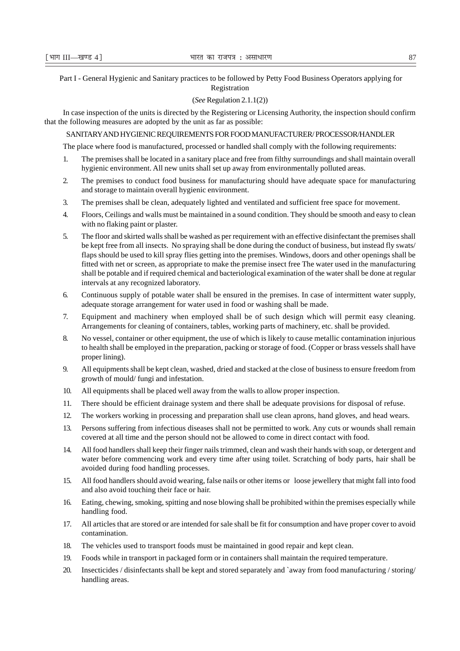Part I - General Hygienic and Sanitary practices to be followed by Petty Food Business Operators applying for Registration

#### (*See* Regulation 2.1.1(2))

In case inspection of the units is directed by the Registering or Licensing Authority, the inspection should confirm that the following measures are adopted by the unit as far as possible:

SANITARY AND HYGIENIC REQUIREMENTS FOR FOOD MANUFACTURER/ PROCESSOR/HANDLER

The place where food is manufactured, processed or handled shall comply with the following requirements:

- 1. The premises shall be located in a sanitary place and free from filthy surroundings and shall maintain overall hygienic environment. All new units shall set up away from environmentally polluted areas.
- 2. The premises to conduct food business for manufacturing should have adequate space for manufacturing and storage to maintain overall hygienic environment.
- 3. The premises shall be clean, adequately lighted and ventilated and sufficient free space for movement.
- 4. Floors, Ceilings and walls must be maintained in a sound condition. They should be smooth and easy to clean with no flaking paint or plaster.
- 5. The floor and skirted walls shall be washed as per requirement with an effective disinfectant the premises shall be kept free from all insects. No spraying shall be done during the conduct of business, but instead fly swats/ flaps should be used to kill spray flies getting into the premises. Windows, doors and other openings shall be fitted with net or screen, as appropriate to make the premise insect free The water used in the manufacturing shall be potable and if required chemical and bacteriological examination of the water shall be done at regular intervals at any recognized laboratory.
- 6. Continuous supply of potable water shall be ensured in the premises. In case of intermittent water supply, adequate storage arrangement for water used in food or washing shall be made.
- 7. Equipment and machinery when employed shall be of such design which will permit easy cleaning. Arrangements for cleaning of containers, tables, working parts of machinery, etc. shall be provided.
- 8. No vessel, container or other equipment, the use of which is likely to cause metallic contamination injurious to health shall be employed in the preparation, packing or storage of food. (Copper or brass vessels shall have proper lining).
- 9. All equipments shall be kept clean, washed, dried and stacked at the close of business to ensure freedom from growth of mould/ fungi and infestation.
- 10. All equipments shall be placed well away from the walls to allow proper inspection.
- 11. There should be efficient drainage system and there shall be adequate provisions for disposal of refuse.
- 12. The workers working in processing and preparation shall use clean aprons, hand gloves, and head wears.
- 13. Persons suffering from infectious diseases shall not be permitted to work. Any cuts or wounds shall remain covered at all time and the person should not be allowed to come in direct contact with food.
- 14. All food handlers shall keep their finger nails trimmed, clean and wash their hands with soap, or detergent and water before commencing work and every time after using toilet. Scratching of body parts, hair shall be avoided during food handling processes.
- 15. All food handlers should avoid wearing, false nails or other items or loose jewellery that might fall into food and also avoid touching their face or hair.
- 16. Eating, chewing, smoking, spitting and nose blowing shall be prohibited within the premises especially while handling food.
- 17. All articles that are stored or are intended for sale shall be fit for consumption and have proper cover to avoid contamination.
- 18. The vehicles used to transport foods must be maintained in good repair and kept clean.
- 19. Foods while in transport in packaged form or in containers shall maintain the required temperature.
- 20. Insecticides / disinfectants shall be kept and stored separately and `away from food manufacturing / storing/ handling areas.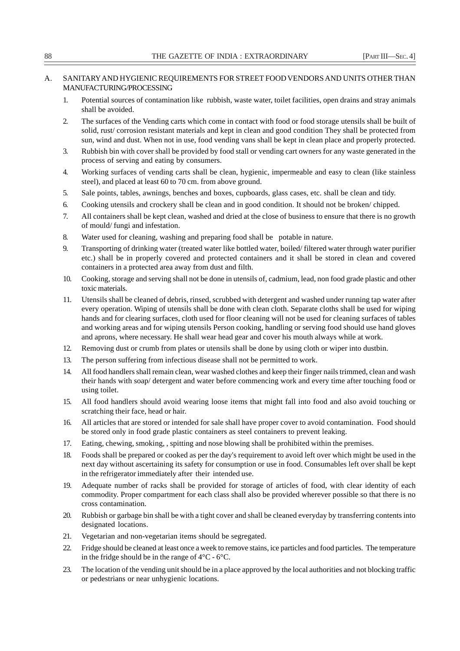## A. SANITARY AND HYGIENIC REQUIREMENTS FOR STREET FOOD VENDORS AND UNITS OTHER THAN MANUFACTURING/PROCESSING

- 1. Potential sources of contamination like rubbish, waste water, toilet facilities, open drains and stray animals shall be avoided.
- 2. The surfaces of the Vending carts which come in contact with food or food storage utensils shall be built of solid, rust/ corrosion resistant materials and kept in clean and good condition They shall be protected from sun, wind and dust. When not in use, food vending vans shall be kept in clean place and properly protected.
- 3. Rubbish bin with cover shall be provided by food stall or vending cart owners for any waste generated in the process of serving and eating by consumers.
- 4. Working surfaces of vending carts shall be clean, hygienic, impermeable and easy to clean (like stainless steel), and placed at least 60 to 70 cm. from above ground.
- 5. Sale points, tables, awnings, benches and boxes, cupboards, glass cases, etc. shall be clean and tidy.
- 6. Cooking utensils and crockery shall be clean and in good condition. It should not be broken/ chipped.
- 7. All containers shall be kept clean, washed and dried at the close of business to ensure that there is no growth of mould/ fungi and infestation.
- 8. Water used for cleaning, washing and preparing food shall be potable in nature.
- 9. Transporting of drinking water (treated water like bottled water, boiled/ filtered water through water purifier etc.) shall be in properly covered and protected containers and it shall be stored in clean and covered containers in a protected area away from dust and filth.
- 10. Cooking, storage and serving shall not be done in utensils of, cadmium, lead, non food grade plastic and other toxic materials.
- 11. Utensils shall be cleaned of debris, rinsed, scrubbed with detergent and washed under running tap water after every operation. Wiping of utensils shall be done with clean cloth. Separate cloths shall be used for wiping hands and for clearing surfaces, cloth used for floor cleaning will not be used for cleaning surfaces of tables and working areas and for wiping utensils Person cooking, handling or serving food should use hand gloves and aprons, where necessary. He shall wear head gear and cover his mouth always while at work.
- 12. Removing dust or crumb from plates or utensils shall be done by using cloth or wiper into dustbin.
- 13. The person suffering from infectious disease shall not be permitted to work.
- 14. All food handlers shall remain clean, wear washed clothes and keep their finger nails trimmed, clean and wash their hands with soap/ detergent and water before commencing work and every time after touching food or using toilet.
- 15. All food handlers should avoid wearing loose items that might fall into food and also avoid touching or scratching their face, head or hair.
- 16. All articles that are stored or intended for sale shall have proper cover to avoid contamination. Food should be stored only in food grade plastic containers as steel containers to prevent leaking.
- 17. Eating, chewing, smoking, , spitting and nose blowing shall be prohibited within the premises.
- 18. Foods shall be prepared or cooked as per the day's requirement to avoid left over which might be used in the next day without ascertaining its safety for consumption or use in food. Consumables left over shall be kept in the refrigerator immediately after their intended use.
- 19. Adequate number of racks shall be provided for storage of articles of food, with clear identity of each commodity. Proper compartment for each class shall also be provided wherever possible so that there is no cross contamination.
- 20. Rubbish or garbage bin shall be with a tight cover and shall be cleaned everyday by transferring contents into designated locations.
- 21. Vegetarian and non-vegetarian items should be segregated.
- 22. Fridge should be cleaned at least once a week to remove stains, ice particles and food particles. The temperature in the fridge should be in the range of  $4^{\circ}$ C -  $6^{\circ}$ C.
- 23. The location of the vending unit should be in a place approved by the local authorities and not blocking traffic or pedestrians or near unhygienic locations.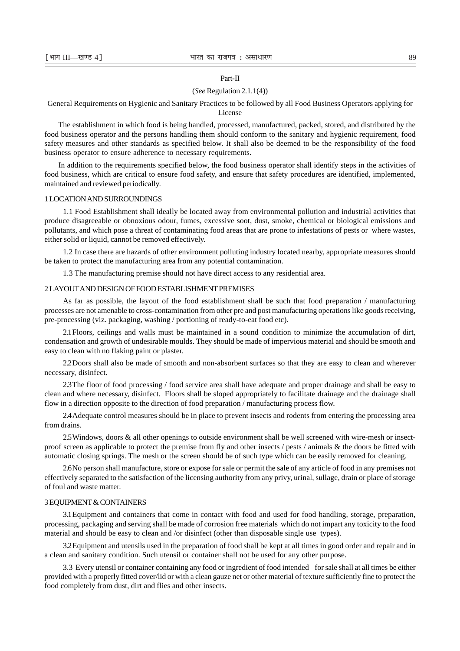#### Part-II

#### (*See* Regulation 2.1.1(4))

General Requirements on Hygienic and Sanitary Practices to be followed by all Food Business Operators applying for License

The establishment in which food is being handled, processed, manufactured, packed, stored, and distributed by the food business operator and the persons handling them should conform to the sanitary and hygienic requirement, food safety measures and other standards as specified below. It shall also be deemed to be the responsibility of the food business operator to ensure adherence to necessary requirements.

In addition to the requirements specified below, the food business operator shall identify steps in the activities of food business, which are critical to ensure food safety, and ensure that safety procedures are identified, implemented, maintained and reviewed periodically.

#### 1 LOCATION AND SURROUNDINGS

1.1 Food Establishment shall ideally be located away from environmental pollution and industrial activities that produce disagreeable or obnoxious odour, fumes, excessive soot, dust, smoke, chemical or biological emissions and pollutants, and which pose a threat of contaminating food areas that are prone to infestations of pests or where wastes, either solid or liquid, cannot be removed effectively.

1.2 In case there are hazards of other environment polluting industry located nearby, appropriate measures should be taken to protect the manufacturing area from any potential contamination.

1.3 The manufacturing premise should not have direct access to any residential area.

#### 2 LAYOUT AND DESIGN OF FOOD ESTABLISHMENT PREMISES

As far as possible, the layout of the food establishment shall be such that food preparation / manufacturing processes are not amenable to cross-contamination from other pre and post manufacturing operations like goods receiving, pre-processing (viz. packaging, washing / portioning of ready-to-eat food etc).

2.1Floors, ceilings and walls must be maintained in a sound condition to minimize the accumulation of dirt, condensation and growth of undesirable moulds. They should be made of impervious material and should be smooth and easy to clean with no flaking paint or plaster.

2.2Doors shall also be made of smooth and non-absorbent surfaces so that they are easy to clean and wherever necessary, disinfect.

2.3The floor of food processing / food service area shall have adequate and proper drainage and shall be easy to clean and where necessary, disinfect. Floors shall be sloped appropriately to facilitate drainage and the drainage shall flow in a direction opposite to the direction of food preparation / manufacturing process flow.

2.4Adequate control measures should be in place to prevent insects and rodents from entering the processing area from drains.

2.5Windows, doors & all other openings to outside environment shall be well screened with wire-mesh or insectproof screen as applicable to protect the premise from fly and other insects / pests / animals & the doors be fitted with automatic closing springs. The mesh or the screen should be of such type which can be easily removed for cleaning.

2.6No person shall manufacture, store or expose for sale or permit the sale of any article of food in any premises not effectively separated to the satisfaction of the licensing authority from any privy, urinal, sullage, drain or place of storage of foul and waste matter.

#### 3 EQUIPMENT & CONTAINERS

3.1Equipment and containers that come in contact with food and used for food handling, storage, preparation, processing, packaging and serving shall be made of corrosion free materials which do not impart any toxicity to the food material and should be easy to clean and /or disinfect (other than disposable single use types).

3.2Equipment and utensils used in the preparation of food shall be kept at all times in good order and repair and in a clean and sanitary condition. Such utensil or container shall not be used for any other purpose.

3.3 Every utensil or container containing any food or ingredient of food intended for sale shall at all times be either provided with a properly fitted cover/lid or with a clean gauze net or other material of texture sufficiently fine to protect the food completely from dust, dirt and flies and other insects.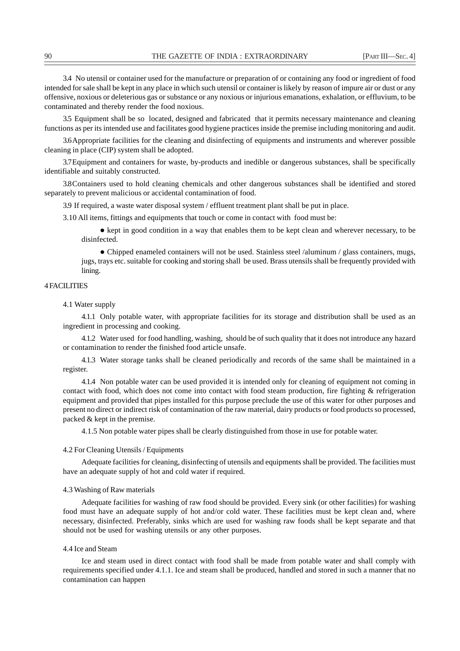3.4 No utensil or container used for the manufacture or preparation of or containing any food or ingredient of food intended for sale shall be kept in any place in which such utensil or container is likely by reason of impure air or dust or any offensive, noxious or deleterious gas or substance or any noxious or injurious emanations, exhalation, or effluvium, to be contaminated and thereby render the food noxious.

3.5 Equipment shall be so located, designed and fabricated that it permits necessary maintenance and cleaning functions as per its intended use and facilitates good hygiene practices inside the premise including monitoring and audit.

3.6Appropriate facilities for the cleaning and disinfecting of equipments and instruments and wherever possible cleaning in place (CIP) system shall be adopted.

3.7Equipment and containers for waste, by-products and inedible or dangerous substances, shall be specifically identifiable and suitably constructed.

3.8Containers used to hold cleaning chemicals and other dangerous substances shall be identified and stored separately to prevent malicious or accidental contamination of food.

3.9 If required, a waste water disposal system / effluent treatment plant shall be put in place.

3.10 All items, fittings and equipments that touch or come in contact with food must be:

• kept in good condition in a way that enables them to be kept clean and wherever necessary, to be disinfected.

• Chipped enameled containers will not be used. Stainless steel /aluminum / glass containers, mugs, jugs, trays etc. suitable for cooking and storing shall be used. Brass utensils shall be frequently provided with lining.

#### 4 FACILITIES

#### 4.1 Water supply

4.1.1 Only potable water, with appropriate facilities for its storage and distribution shall be used as an ingredient in processing and cooking.

4.1.2 Water used for food handling, washing, should be of such quality that it does not introduce any hazard or contamination to render the finished food article unsafe.

4.1.3 Water storage tanks shall be cleaned periodically and records of the same shall be maintained in a register.

4.1.4 Non potable water can be used provided it is intended only for cleaning of equipment not coming in contact with food, which does not come into contact with food steam production, fire fighting & refrigeration equipment and provided that pipes installed for this purpose preclude the use of this water for other purposes and present no direct or indirect risk of contamination of the raw material, dairy products or food products so processed, packed & kept in the premise.

4.1.5 Non potable water pipes shall be clearly distinguished from those in use for potable water.

#### 4.2 For Cleaning Utensils / Equipments

Adequate facilities for cleaning, disinfecting of utensils and equipments shall be provided. The facilities must have an adequate supply of hot and cold water if required.

#### 4.3 Washing of Raw materials

Adequate facilities for washing of raw food should be provided. Every sink (or other facilities) for washing food must have an adequate supply of hot and/or cold water. These facilities must be kept clean and, where necessary, disinfected. Preferably, sinks which are used for washing raw foods shall be kept separate and that should not be used for washing utensils or any other purposes.

#### 4.4 Ice and Steam

Ice and steam used in direct contact with food shall be made from potable water and shall comply with requirements specified under 4.1.1. Ice and steam shall be produced, handled and stored in such a manner that no contamination can happen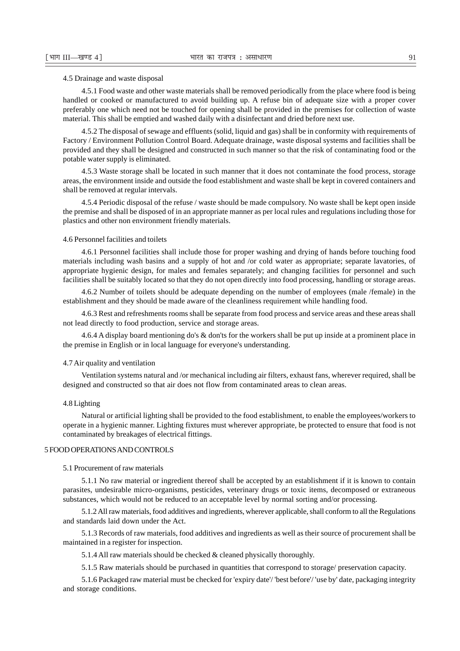#### 4.5 Drainage and waste disposal

4.5.1 Food waste and other waste materials shall be removed periodically from the place where food is being handled or cooked or manufactured to avoid building up. A refuse bin of adequate size with a proper cover preferably one which need not be touched for opening shall be provided in the premises for collection of waste material. This shall be emptied and washed daily with a disinfectant and dried before next use.

4.5.2 The disposal of sewage and effluents (solid, liquid and gas) shall be in conformity with requirements of Factory / Environment Pollution Control Board. Adequate drainage, waste disposal systems and facilities shall be provided and they shall be designed and constructed in such manner so that the risk of contaminating food or the potable water supply is eliminated.

4.5.3 Waste storage shall be located in such manner that it does not contaminate the food process, storage areas, the environment inside and outside the food establishment and waste shall be kept in covered containers and shall be removed at regular intervals.

4.5.4 Periodic disposal of the refuse / waste should be made compulsory. No waste shall be kept open inside the premise and shall be disposed of in an appropriate manner as per local rules and regulations including those for plastics and other non environment friendly materials.

#### 4.6 Personnel facilities and toilets

4.6.1 Personnel facilities shall include those for proper washing and drying of hands before touching food materials including wash basins and a supply of hot and /or cold water as appropriate; separate lavatories, of appropriate hygienic design, for males and females separately; and changing facilities for personnel and such facilities shall be suitably located so that they do not open directly into food processing, handling or storage areas.

4.6.2 Number of toilets should be adequate depending on the number of employees (male /female) in the establishment and they should be made aware of the cleanliness requirement while handling food.

4.6.3 Rest and refreshments rooms shall be separate from food process and service areas and these areas shall not lead directly to food production, service and storage areas.

4.6.4 A display board mentioning do's & don'ts for the workers shall be put up inside at a prominent place in the premise in English or in local language for everyone's understanding.

#### 4.7 Air quality and ventilation

Ventilation systems natural and /or mechanical including air filters, exhaust fans, wherever required, shall be designed and constructed so that air does not flow from contaminated areas to clean areas.

#### 4.8 Lighting

Natural or artificial lighting shall be provided to the food establishment, to enable the employees/workers to operate in a hygienic manner. Lighting fixtures must wherever appropriate, be protected to ensure that food is not contaminated by breakages of electrical fittings.

#### 5 FOOD OPERATIONS AND CONTROLS

#### 5.1 Procurement of raw materials

5.1.1 No raw material or ingredient thereof shall be accepted by an establishment if it is known to contain parasites, undesirable micro-organisms, pesticides, veterinary drugs or toxic items, decomposed or extraneous substances, which would not be reduced to an acceptable level by normal sorting and/or processing.

5.1.2 All raw materials, food additives and ingredients, wherever applicable, shall conform to all the Regulations and standards laid down under the Act.

5.1.3 Records of raw materials, food additives and ingredients as well as their source of procurement shall be maintained in a register for inspection.

5.1.4 All raw materials should be checked & cleaned physically thoroughly.

5.1.5 Raw materials should be purchased in quantities that correspond to storage/ preservation capacity.

5.1.6 Packaged raw material must be checked for 'expiry date'/ 'best before'/ 'use by' date, packaging integrity and storage conditions.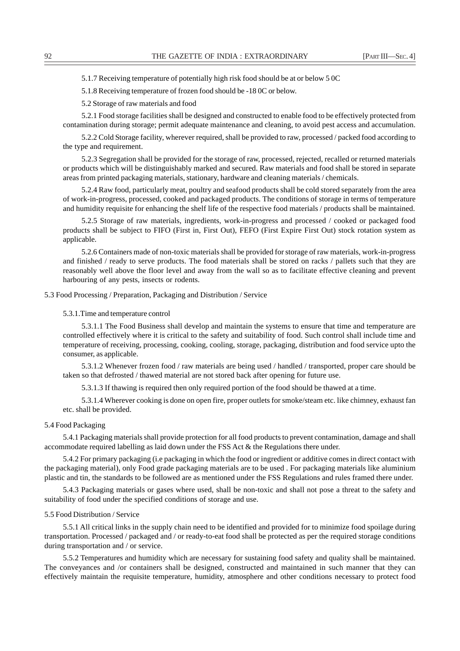5.1.7 Receiving temperature of potentially high risk food should be at or below 5 0C

5.1.8 Receiving temperature of frozen food should be -18 0C or below.

5.2 Storage of raw materials and food

5.2.1 Food storage facilities shall be designed and constructed to enable food to be effectively protected from contamination during storage; permit adequate maintenance and cleaning, to avoid pest access and accumulation.

5.2.2 Cold Storage facility, wherever required, shall be provided to raw, processed / packed food according to the type and requirement.

5.2.3 Segregation shall be provided for the storage of raw, processed, rejected, recalled or returned materials or products which will be distinguishably marked and secured. Raw materials and food shall be stored in separate areas from printed packaging materials, stationary, hardware and cleaning materials / chemicals.

5.2.4 Raw food, particularly meat, poultry and seafood products shall be cold stored separately from the area of work-in-progress, processed, cooked and packaged products. The conditions of storage in terms of temperature and humidity requisite for enhancing the shelf life of the respective food materials / products shall be maintained.

5.2.5 Storage of raw materials, ingredients, work-in-progress and processed / cooked or packaged food products shall be subject to FIFO (First in, First Out), FEFO (First Expire First Out) stock rotation system as applicable.

5.2.6 Containers made of non-toxic materials shall be provided for storage of raw materials, work-in-progress and finished / ready to serve products. The food materials shall be stored on racks / pallets such that they are reasonably well above the floor level and away from the wall so as to facilitate effective cleaning and prevent harbouring of any pests, insects or rodents.

#### 5.3 Food Processing / Preparation, Packaging and Distribution / Service

#### 5.3.1.Time and temperature control

5.3.1.1 The Food Business shall develop and maintain the systems to ensure that time and temperature are controlled effectively where it is critical to the safety and suitability of food. Such control shall include time and temperature of receiving, processing, cooking, cooling, storage, packaging, distribution and food service upto the consumer, as applicable.

5.3.1.2 Whenever frozen food / raw materials are being used / handled / transported, proper care should be taken so that defrosted / thawed material are not stored back after opening for future use.

5.3.1.3 If thawing is required then only required portion of the food should be thawed at a time.

5.3.1.4 Wherever cooking is done on open fire, proper outlets for smoke/steam etc. like chimney, exhaust fan etc. shall be provided.

#### 5.4 Food Packaging

5.4.1 Packaging materials shall provide protection for all food products to prevent contamination, damage and shall accommodate required labelling as laid down under the FSS Act & the Regulations there under.

5.4.2 For primary packaging (i.e packaging in which the food or ingredient or additive comes in direct contact with the packaging material), only Food grade packaging materials are to be used . For packaging materials like aluminium plastic and tin, the standards to be followed are as mentioned under the FSS Regulations and rules framed there under.

5.4.3 Packaging materials or gases where used, shall be non-toxic and shall not pose a threat to the safety and suitability of food under the specified conditions of storage and use.

#### 5.5 Food Distribution / Service

5.5.1 All critical links in the supply chain need to be identified and provided for to minimize food spoilage during transportation. Processed / packaged and / or ready-to-eat food shall be protected as per the required storage conditions during transportation and / or service.

5.5.2 Temperatures and humidity which are necessary for sustaining food safety and quality shall be maintained. The conveyances and /or containers shall be designed, constructed and maintained in such manner that they can effectively maintain the requisite temperature, humidity, atmosphere and other conditions necessary to protect food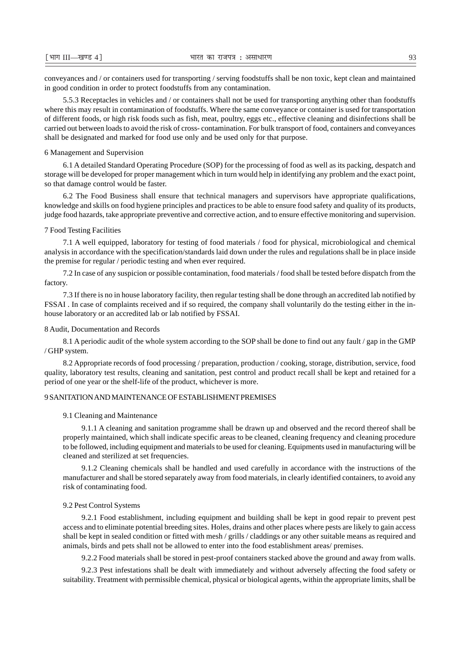conveyances and / or containers used for transporting / serving foodstuffs shall be non toxic, kept clean and maintained in good condition in order to protect foodstuffs from any contamination.

5.5.3 Receptacles in vehicles and / or containers shall not be used for transporting anything other than foodstuffs where this may result in contamination of foodstuffs. Where the same conveyance or container is used for transportation of different foods, or high risk foods such as fish, meat, poultry, eggs etc., effective cleaning and disinfections shall be carried out between loads to avoid the risk of cross- contamination. For bulk transport of food, containers and conveyances shall be designated and marked for food use only and be used only for that purpose.

#### 6 Management and Supervision

6.1 A detailed Standard Operating Procedure (SOP) for the processing of food as well as its packing, despatch and storage will be developed for proper management which in turn would help in identifying any problem and the exact point, so that damage control would be faster.

6.2 The Food Business shall ensure that technical managers and supervisors have appropriate qualifications, knowledge and skills on food hygiene principles and practices to be able to ensure food safety and quality of its products, judge food hazards, take appropriate preventive and corrective action, and to ensure effective monitoring and supervision.

#### 7 Food Testing Facilities

7.1 A well equipped, laboratory for testing of food materials / food for physical, microbiological and chemical analysis in accordance with the specification/standards laid down under the rules and regulations shall be in place inside the premise for regular / periodic testing and when ever required.

7.2 In case of any suspicion or possible contamination, food materials / food shall be tested before dispatch from the factory.

7.3 If there is no in house laboratory facility, then regular testing shall be done through an accredited lab notified by FSSAI . In case of complaints received and if so required, the company shall voluntarily do the testing either in the inhouse laboratory or an accredited lab or lab notified by FSSAI.

#### 8 Audit, Documentation and Records

8.1 A periodic audit of the whole system according to the SOP shall be done to find out any fault / gap in the GMP / GHP system.

8.2 Appropriate records of food processing / preparation, production / cooking, storage, distribution, service, food quality, laboratory test results, cleaning and sanitation, pest control and product recall shall be kept and retained for a period of one year or the shelf-life of the product, whichever is more.

#### 9 SANITATION AND MAINTENANCE OF ESTABLISHMENT PREMISES

#### 9.1 Cleaning and Maintenance

9.1.1 A cleaning and sanitation programme shall be drawn up and observed and the record thereof shall be properly maintained, which shall indicate specific areas to be cleaned, cleaning frequency and cleaning procedure to be followed, including equipment and materials to be used for cleaning. Equipments used in manufacturing will be cleaned and sterilized at set frequencies.

9.1.2 Cleaning chemicals shall be handled and used carefully in accordance with the instructions of the manufacturer and shall be stored separately away from food materials, in clearly identified containers, to avoid any risk of contaminating food.

#### 9.2 Pest Control Systems

9.2.1 Food establishment, including equipment and building shall be kept in good repair to prevent pest access and to eliminate potential breeding sites. Holes, drains and other places where pests are likely to gain access shall be kept in sealed condition or fitted with mesh / grills / claddings or any other suitable means as required and animals, birds and pets shall not be allowed to enter into the food establishment areas/ premises.

9.2.2 Food materials shall be stored in pest-proof containers stacked above the ground and away from walls.

9.2.3 Pest infestations shall be dealt with immediately and without adversely affecting the food safety or suitability. Treatment with permissible chemical, physical or biological agents, within the appropriate limits, shall be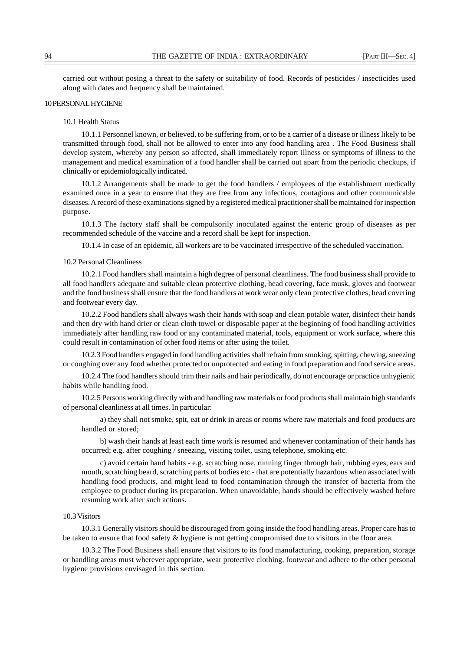carried out without posing a threat to the safety or suitability of food. Records of pesticides / insecticides used along with dates and frequency shall be maintained.

#### 10 PERSONAL HYGIENE

#### 10.1 Health Status

10.1.1 Personnel known, or believed, to be suffering from, or to be a carrier of a disease or illness likely to be transmitted through food, shall not be allowed to enter into any food handling area . The Food Business shall develop system, whereby any person so affected, shall immediately report illness or symptoms of illness to the management and medical examination of a food handler shall be carried out apart from the periodic checkups, if clinically or epidemiologically indicated.

10.1.2 Arrangements shall be made to get the food handlers / employees of the establishment medically examined once in a year to ensure that they are free from any infectious, contagious and other communicable diseases. A record of these examinations signed by a registered medical practitioner shall be maintained for inspection purpose.

10.1.3 The factory staff shall be compulsorily inoculated against the enteric group of diseases as per recommended schedule of the vaccine and a record shall be kept for inspection.

10.1.4 In case of an epidemic, all workers are to be vaccinated irrespective of the scheduled vaccination.

#### 10.2 Personal Cleanliness

10.2.1 Food handlers shall maintain a high degree of personal cleanliness. The food business shall provide to all food handlers adequate and suitable clean protective clothing, head covering, face musk, gloves and footwear and the food business shall ensure that the food handlers at work wear only clean protective clothes, head covering and footwear every day.

10.2.2 Food handlers shall always wash their hands with soap and clean potable water, disinfect their hands and then dry with hand drier or clean cloth towel or disposable paper at the beginning of food handling activities immediately after handling raw food or any contaminated material, tools, equipment or work surface, where this could result in contamination of other food items or after using the toilet.

10.2.3 Food handlers engaged in food handling activities shall refrain from smoking, spitting, chewing, sneezing or coughing over any food whether protected or unprotected and eating in food preparation and food service areas.

10.2.4 The food handlers should trim their nails and hair periodically, do not encourage or practice unhygienic habits while handling food.

10.2.5 Persons working directly with and handling raw materials or food products shall maintain high standards of personal cleanliness at all times. In particular:

a) they shall not smoke, spit, eat or drink in areas or rooms where raw materials and food products are handled or stored;

b) wash their hands at least each time work is resumed and whenever contamination of their hands has occurred; e.g. after coughing / sneezing, visiting toilet, using telephone, smoking etc.

c) avoid certain hand habits - e.g. scratching nose, running finger through hair, rubbing eyes, ears and mouth, scratching beard, scratching parts of bodies etc.- that are potentially hazardous when associated with handling food products, and might lead to food contamination through the transfer of bacteria from the employee to product during its preparation. When unavoidable, hands should be effectively washed before resuming work after such actions.

#### 10.3 Visitors

10.3.1 Generally visitors should be discouraged from going inside the food handling areas. Proper care has to be taken to ensure that food safety & hygiene is not getting compromised due to visitors in the floor area.

10.3.2 The Food Business shall ensure that visitors to its food manufacturing, cooking, preparation, storage or handling areas must wherever appropriate, wear protective clothing, footwear and adhere to the other personal hygiene provisions envisaged in this section.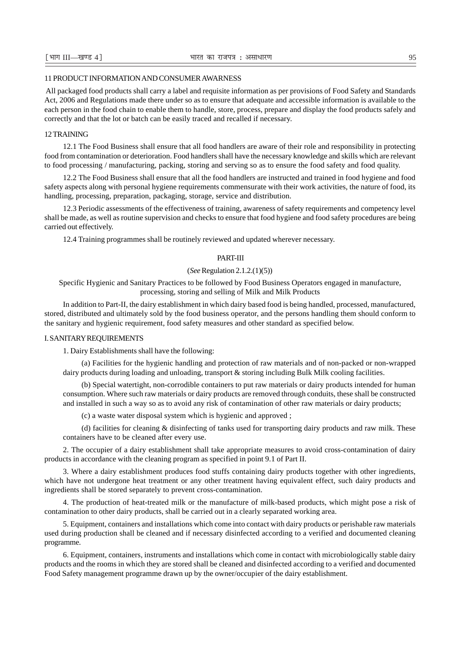#### 11 PRODUCT INFORMATION AND CONSUMER AWARNESS

 All packaged food products shall carry a label and requisite information as per provisions of Food Safety and Standards Act, 2006 and Regulations made there under so as to ensure that adequate and accessible information is available to the each person in the food chain to enable them to handle, store, process, prepare and display the food products safely and correctly and that the lot or batch can be easily traced and recalled if necessary.

#### 12 TRAINING

12.1 The Food Business shall ensure that all food handlers are aware of their role and responsibility in protecting food from contamination or deterioration. Food handlers shall have the necessary knowledge and skills which are relevant to food processing / manufacturing, packing, storing and serving so as to ensure the food safety and food quality.

12.2 The Food Business shall ensure that all the food handlers are instructed and trained in food hygiene and food safety aspects along with personal hygiene requirements commensurate with their work activities, the nature of food, its handling, processing, preparation, packaging, storage, service and distribution.

12.3 Periodic assessments of the effectiveness of training, awareness of safety requirements and competency level shall be made, as well as routine supervision and checks to ensure that food hygiene and food safety procedures are being carried out effectively.

12.4 Training programmes shall be routinely reviewed and updated wherever necessary.

#### PART-III

### (*See* Regulation 2.1.2.(1)(5))

Specific Hygienic and Sanitary Practices to be followed by Food Business Operators engaged in manufacture, processing, storing and selling of Milk and Milk Products

In addition to Part-II, the dairy establishment in which dairy based food is being handled, processed, manufactured, stored, distributed and ultimately sold by the food business operator, and the persons handling them should conform to the sanitary and hygienic requirement, food safety measures and other standard as specified below.

#### I. SANITARY REQUIREMENTS

1. Dairy Establishments shall have the following:

(a) Facilities for the hygienic handling and protection of raw materials and of non-packed or non-wrapped dairy products during loading and unloading, transport & storing including Bulk Milk cooling facilities.

(b) Special watertight, non-corrodible containers to put raw materials or dairy products intended for human consumption. Where such raw materials or dairy products are removed through conduits, these shall be constructed and installed in such a way so as to avoid any risk of contamination of other raw materials or dairy products;

(c) a waste water disposal system which is hygienic and approved ;

(d) facilities for cleaning & disinfecting of tanks used for transporting dairy products and raw milk. These containers have to be cleaned after every use.

2. The occupier of a dairy establishment shall take appropriate measures to avoid cross-contamination of dairy products in accordance with the cleaning program as specified in point 9.1 of Part II.

3. Where a dairy establishment produces food stuffs containing dairy products together with other ingredients, which have not undergone heat treatment or any other treatment having equivalent effect, such dairy products and ingredients shall be stored separately to prevent cross-contamination.

4. The production of heat-treated milk or the manufacture of milk-based products, which might pose a risk of contamination to other dairy products, shall be carried out in a clearly separated working area.

5. Equipment, containers and installations which come into contact with dairy products or perishable raw materials used during production shall be cleaned and if necessary disinfected according to a verified and documented cleaning programme.

6. Equipment, containers, instruments and installations which come in contact with microbiologically stable dairy products and the rooms in which they are stored shall be cleaned and disinfected according to a verified and documented Food Safety management programme drawn up by the owner/occupier of the dairy establishment.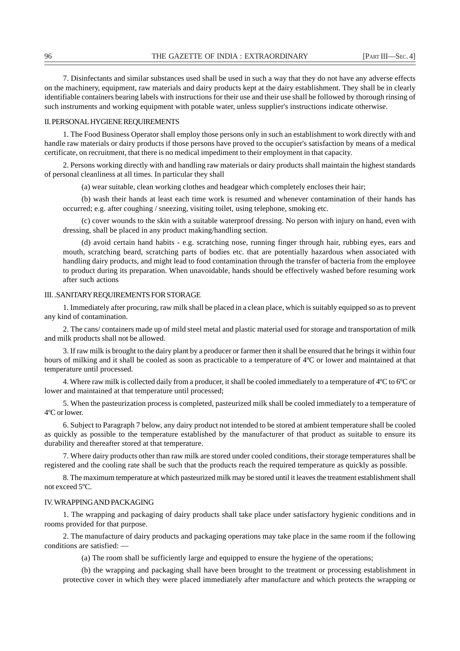7. Disinfectants and similar substances used shall be used in such a way that they do not have any adverse effects on the machinery, equipment, raw materials and dairy products kept at the dairy establishment. They shall be in clearly identifiable containers bearing labels with instructions for their use and their use shall be followed by thorough rinsing of such instruments and working equipment with potable water, unless supplier's instructions indicate otherwise.

#### II. PERSONAL HYGIENE REQUIREMENTS

1. The Food Business Operator shall employ those persons only in such an establishment to work directly with and handle raw materials or dairy products if those persons have proved to the occupier's satisfaction by means of a medical certificate, on recruitment, that there is no medical impediment to their employment in that capacity.

2. Persons working directly with and handling raw materials or dairy products shall maintain the highest standards of personal cleanliness at all times. In particular they shall

(a) wear suitable, clean working clothes and headgear which completely encloses their hair;

(b) wash their hands at least each time work is resumed and whenever contamination of their hands has occurred; e.g. after coughing / sneezing, visiting toilet, using telephone, smoking etc.

(c) cover wounds to the skin with a suitable waterproof dressing. No person with injury on hand, even with dressing, shall be placed in any product making/handling section.

(d) avoid certain hand habits - e.g. scratching nose, running finger through hair, rubbing eyes, ears and mouth, scratching beard, scratching parts of bodies etc. that are potentially hazardous when associated with handling dairy products, and might lead to food contamination through the transfer of bacteria from the employee to product during its preparation. When unavoidable, hands should be effectively washed before resuming work after such actions

#### III. .SANITARY REQUIREMENTS FOR STORAGE

1. Immediately after procuring, raw milk shall be placed in a clean place, which is suitably equipped so as to prevent any kind of contamination.

2. The cans/ containers made up of mild steel metal and plastic material used for storage and transportation of milk and milk products shall not be allowed.

3. If raw milk is brought to the dairy plant by a producer or farmer then it shall be ensured that he brings it within four hours of milking and it shall be cooled as soon as practicable to a temperature of 4ºC or lower and maintained at that temperature until processed.

4. Where raw milk is collected daily from a producer, it shall be cooled immediately to a temperature of 4ºC to 6ºC or lower and maintained at that temperature until processed;

5. When the pasteurization process is completed, pasteurized milk shall be cooled immediately to a temperature of 4ºC or lower.

6. Subject to Paragraph 7 below, any dairy product not intended to be stored at ambient temperature shall be cooled as quickly as possible to the temperature established by the manufacturer of that product as suitable to ensure its durability and thereafter stored at that temperature.

7. Where dairy products other than raw milk are stored under cooled conditions, their storage temperatures shall be registered and the cooling rate shall be such that the products reach the required temperature as quickly as possible.

8. The maximum temperature at which pasteurized milk may be stored until it leaves the treatment establishment shall not exceed 5ºC.

#### IV. WRAPPING AND PACKAGING

1. The wrapping and packaging of dairy products shall take place under satisfactory hygienic conditions and in rooms provided for that purpose.

2. The manufacture of dairy products and packaging operations may take place in the same room if the following conditions are satisfied: —

(a) The room shall be sufficiently large and equipped to ensure the hygiene of the operations;

(b) the wrapping and packaging shall have been brought to the treatment or processing establishment in protective cover in which they were placed immediately after manufacture and which protects the wrapping or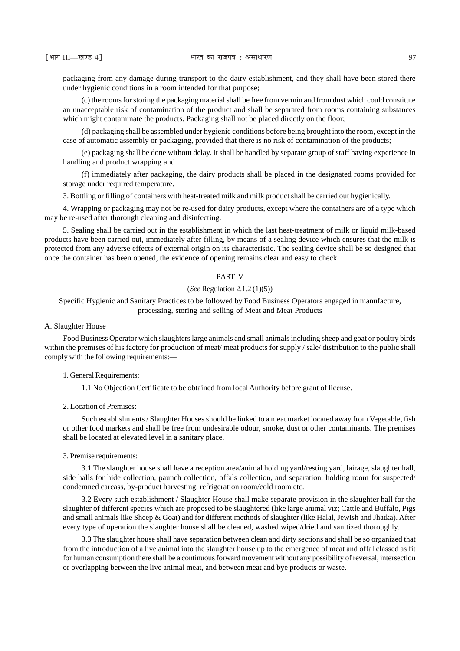packaging from any damage during transport to the dairy establishment, and they shall have been stored there under hygienic conditions in a room intended for that purpose;

(c) the rooms for storing the packaging material shall be free from vermin and from dust which could constitute an unacceptable risk of contamination of the product and shall be separated from rooms containing substances which might contaminate the products. Packaging shall not be placed directly on the floor;

(d) packaging shall be assembled under hygienic conditions before being brought into the room, except in the case of automatic assembly or packaging, provided that there is no risk of contamination of the products;

(e) packaging shall be done without delay. It shall be handled by separate group of staff having experience in handling and product wrapping and

(f) immediately after packaging, the dairy products shall be placed in the designated rooms provided for storage under required temperature.

3. Bottling or filling of containers with heat-treated milk and milk product shall be carried out hygienically.

4. Wrapping or packaging may not be re-used for dairy products, except where the containers are of a type which may be re-used after thorough cleaning and disinfecting.

5. Sealing shall be carried out in the establishment in which the last heat-treatment of milk or liquid milk-based products have been carried out, immediately after filling, by means of a sealing device which ensures that the milk is protected from any adverse effects of external origin on its characteristic. The sealing device shall be so designed that once the container has been opened, the evidence of opening remains clear and easy to check.

## **PART IV**

#### (*See* Regulation 2.1.2 (1)(5))

Specific Hygienic and Sanitary Practices to be followed by Food Business Operators engaged in manufacture, processing, storing and selling of Meat and Meat Products

#### A. Slaughter House

Food Business Operator which slaughters large animals and small animals including sheep and goat or poultry birds within the premises of his factory for production of meat/ meat products for supply / sale/ distribution to the public shall comply with the following requirements:—

#### 1. General Requirements:

1.1 No Objection Certificate to be obtained from local Authority before grant of license.

#### 2. Location of Premises:

Such establishments / Slaughter Houses should be linked to a meat market located away from Vegetable, fish or other food markets and shall be free from undesirable odour, smoke, dust or other contaminants. The premises shall be located at elevated level in a sanitary place.

#### 3. Premise requirements:

3.1 The slaughter house shall have a reception area/animal holding yard/resting yard, lairage, slaughter hall, side halls for hide collection, paunch collection, offals collection, and separation, holding room for suspected/ condemned carcass, by-product harvesting, refrigeration room/cold room etc.

3.2 Every such establishment / Slaughter House shall make separate provision in the slaughter hall for the slaughter of different species which are proposed to be slaughtered (like large animal viz; Cattle and Buffalo, Pigs and small animals like Sheep & Goat) and for different methods of slaughter (like Halal, Jewish and Jhatka). After every type of operation the slaughter house shall be cleaned, washed wiped/dried and sanitized thoroughly.

3.3 The slaughter house shall have separation between clean and dirty sections and shall be so organized that from the introduction of a live animal into the slaughter house up to the emergence of meat and offal classed as fit for human consumption there shall be a continuous forward movement without any possibility of reversal, intersection or overlapping between the live animal meat, and between meat and bye products or waste.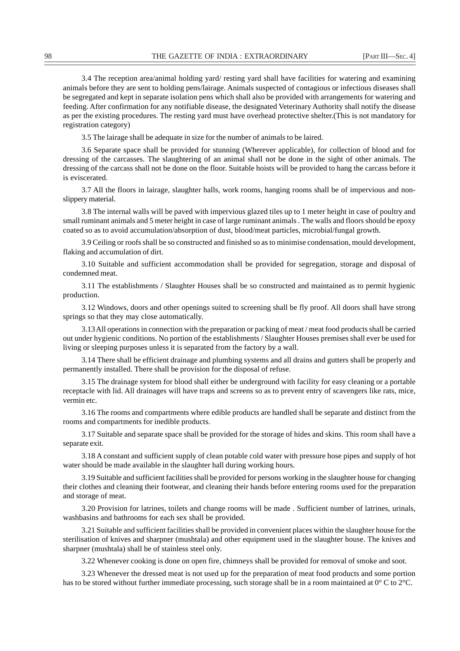3.4 The reception area/animal holding yard/ resting yard shall have facilities for watering and examining animals before they are sent to holding pens/lairage. Animals suspected of contagious or infectious diseases shall be segregated and kept in separate isolation pens which shall also be provided with arrangements for watering and feeding. After confirmation for any notifiable disease, the designated Veterinary Authority shall notify the disease as per the existing procedures. The resting yard must have overhead protective shelter.(This is not mandatory for registration category)

3.5 The lairage shall be adequate in size for the number of animals to be laired.

3.6 Separate space shall be provided for stunning (Wherever applicable), for collection of blood and for dressing of the carcasses. The slaughtering of an animal shall not be done in the sight of other animals. The dressing of the carcass shall not be done on the floor. Suitable hoists will be provided to hang the carcass before it is eviscerated.

3.7 All the floors in lairage, slaughter halls, work rooms, hanging rooms shall be of impervious and nonslippery material.

3.8 The internal walls will be paved with impervious glazed tiles up to 1 meter height in case of poultry and small ruminant animals and 5 meter height in case of large ruminant animals . The walls and floors should be epoxy coated so as to avoid accumulation/absorption of dust, blood/meat particles, microbial/fungal growth.

3.9 Ceiling or roofs shall be so constructed and finished so as to minimise condensation, mould development, flaking and accumulation of dirt.

3.10 Suitable and sufficient accommodation shall be provided for segregation, storage and disposal of condemned meat.

3.11 The establishments / Slaughter Houses shall be so constructed and maintained as to permit hygienic production.

3.12 Windows, doors and other openings suited to screening shall be fly proof. All doors shall have strong springs so that they may close automatically.

3.13 All operations in connection with the preparation or packing of meat / meat food products shall be carried out under hygienic conditions. No portion of the establishments / Slaughter Houses premises shall ever be used for living or sleeping purposes unless it is separated from the factory by a wall.

3.14 There shall be efficient drainage and plumbing systems and all drains and gutters shall be properly and permanently installed. There shall be provision for the disposal of refuse.

3.15 The drainage system for blood shall either be underground with facility for easy cleaning or a portable receptacle with lid. All drainages will have traps and screens so as to prevent entry of scavengers like rats, mice, vermin etc.

3.16 The rooms and compartments where edible products are handled shall be separate and distinct from the rooms and compartments for inedible products.

3.17 Suitable and separate space shall be provided for the storage of hides and skins. This room shall have a separate exit.

3.18 A constant and sufficient supply of clean potable cold water with pressure hose pipes and supply of hot water should be made available in the slaughter hall during working hours.

3.19 Suitable and sufficient facilities shall be provided for persons working in the slaughter house for changing their clothes and cleaning their footwear, and cleaning their hands before entering rooms used for the preparation and storage of meat.

3.20 Provision for latrines, toilets and change rooms will be made . Sufficient number of latrines, urinals, washbasins and bathrooms for each sex shall be provided.

3.21 Suitable and sufficient facilities shall be provided in convenient places within the slaughter house for the sterilisation of knives and sharpner (mushtala) and other equipment used in the slaughter house. The knives and sharpner (mushtala) shall be of stainless steel only.

3.22 Whenever cooking is done on open fire, chimneys shall be provided for removal of smoke and soot.

3.23 Whenever the dressed meat is not used up for the preparation of meat food products and some portion has to be stored without further immediate processing, such storage shall be in a room maintained at  $0^{\circ}$  C to  $2^{\circ}$ C.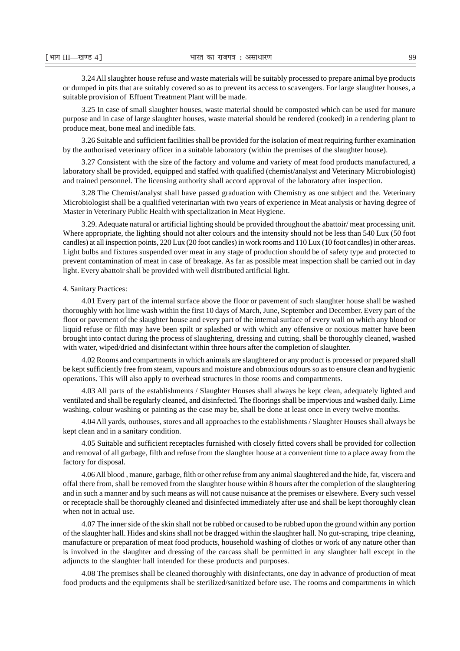3.24 All slaughter house refuse and waste materials will be suitably processed to prepare animal bye products or dumped in pits that are suitably covered so as to prevent its access to scavengers. For large slaughter houses, a suitable provision of Effuent Treatment Plant will be made.

3.25 In case of small slaughter houses, waste material should be composted which can be used for manure purpose and in case of large slaughter houses, waste material should be rendered (cooked) in a rendering plant to produce meat, bone meal and inedible fats.

3.26 Suitable and sufficient facilities shall be provided for the isolation of meat requiring further examination by the authorised veterinary officer in a suitable laboratory (within the premises of the slaughter house).

3.27 Consistent with the size of the factory and volume and variety of meat food products manufactured, a laboratory shall be provided, equipped and staffed with qualified (chemist/analyst and Veterinary Microbiologist) and trained personnel. The licensing authority shall accord approval of the laboratory after inspection.

3.28 The Chemist/analyst shall have passed graduation with Chemistry as one subject and the. Veterinary Microbiologist shall be a qualified veterinarian with two years of experience in Meat analysis or having degree of Master in Veterinary Public Health with specialization in Meat Hygiene.

3.29. Adequate natural or artificial lighting should be provided throughout the abattoir/ meat processing unit. Where appropriate, the lighting should not alter colours and the intensity should not be less than 540 Lux (50 foot candles) at all inspection points, 220 Lux (20 foot candles) in work rooms and 110 Lux (10 foot candles) in other areas. Light bulbs and fixtures suspended over meat in any stage of production should be of safety type and protected to prevent contamination of meat in case of breakage. As far as possible meat inspection shall be carried out in day light. Every abattoir shall be provided with well distributed artificial light.

#### 4. Sanitary Practices:

4.01 Every part of the internal surface above the floor or pavement of such slaughter house shall be washed thoroughly with hot lime wash within the first 10 days of March, June, September and December. Every part of the floor or pavement of the slaughter house and every part of the internal surface of every wall on which any blood or liquid refuse or filth may have been spilt or splashed or with which any offensive or noxious matter have been brought into contact during the process of slaughtering, dressing and cutting, shall be thoroughly cleaned, washed with water, wiped/dried and disinfectant within three hours after the completion of slaughter.

4.02 Rooms and compartments in which animals are slaughtered or any product is processed or prepared shall be kept sufficiently free from steam, vapours and moisture and obnoxious odours so as to ensure clean and hygienic operations. This will also apply to overhead structures in those rooms and compartments.

4.03 All parts of the establishments / Slaughter Houses shall always be kept clean, adequately lighted and ventilated and shall be regularly cleaned, and disinfected. The floorings shall be impervious and washed daily. Lime washing, colour washing or painting as the case may be, shall be done at least once in every twelve months.

4.04 All yards, outhouses, stores and all approaches to the establishments / Slaughter Houses shall always be kept clean and in a sanitary condition.

4.05 Suitable and sufficient receptacles furnished with closely fitted covers shall be provided for collection and removal of all garbage, filth and refuse from the slaughter house at a convenient time to a place away from the factory for disposal.

4.06 All blood , manure, garbage, filth or other refuse from any animal slaughtered and the hide, fat, viscera and offal there from, shall be removed from the slaughter house within 8 hours after the completion of the slaughtering and in such a manner and by such means as will not cause nuisance at the premises or elsewhere. Every such vessel or receptacle shall be thoroughly cleaned and disinfected immediately after use and shall be kept thoroughly clean when not in actual use.

4.07 The inner side of the skin shall not be rubbed or caused to be rubbed upon the ground within any portion of the slaughter hall. Hides and skins shall not be dragged within the slaughter hall. No gut-scraping, tripe cleaning, manufacture or preparation of meat food products, household washing of clothes or work of any nature other than is involved in the slaughter and dressing of the carcass shall be permitted in any slaughter hall except in the adjuncts to the slaughter hall intended for these products and purposes.

4.08 The premises shall be cleaned thoroughly with disinfectants, one day in advance of production of meat food products and the equipments shall be sterilized/sanitized before use. The rooms and compartments in which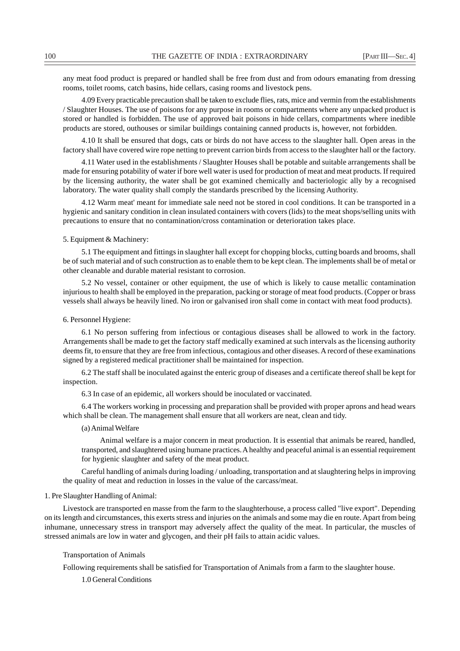any meat food product is prepared or handled shall be free from dust and from odours emanating from dressing rooms, toilet rooms, catch basins, hide cellars, casing rooms and livestock pens.

4.09 Every practicable precaution shall be taken to exclude flies, rats, mice and vermin from the establishments / Slaughter Houses. The use of poisons for any purpose in rooms or compartments where any unpacked product is stored or handled is forbidden. The use of approved bait poisons in hide cellars, compartments where inedible products are stored, outhouses or similar buildings containing canned products is, however, not forbidden.

4.10 It shall be ensured that dogs, cats or birds do not have access to the slaughter hall. Open areas in the factory shall have covered wire rope netting to prevent carrion birds from access to the slaughter hall or the factory.

4.11 Water used in the establishments / Slaughter Houses shall be potable and suitable arrangements shall be made for ensuring potability of water if bore well water is used for production of meat and meat products. If required by the licensing authority, the water shall be got examined chemically and bacteriologic ally by a recognised laboratory. The water quality shall comply the standards prescribed by the licensing Authority.

4.12 Warm meat' meant for immediate sale need not be stored in cool conditions. It can be transported in a hygienic and sanitary condition in clean insulated containers with covers (lids) to the meat shops/selling units with precautions to ensure that no contamination/cross contamination or deterioration takes place.

#### 5. Equipment & Machinery:

5.1 The equipment and fittings in slaughter hall except for chopping blocks, cutting boards and brooms, shall be of such material and of such construction as to enable them to be kept clean. The implements shall be of metal or other cleanable and durable material resistant to corrosion.

5.2 No vessel, container or other equipment, the use of which is likely to cause metallic contamination injurious to health shall be employed in the preparation, packing or storage of meat food products. (Copper or brass vessels shall always be heavily lined. No iron or galvanised iron shall come in contact with meat food products).

#### 6. Personnel Hygiene:

6.1 No person suffering from infectious or contagious diseases shall be allowed to work in the factory. Arrangements shall be made to get the factory staff medically examined at such intervals as the licensing authority deems fit, to ensure that they are free from infectious, contagious and other diseases. A record of these examinations signed by a registered medical practitioner shall be maintained for inspection.

6.2 The staff shall be inoculated against the enteric group of diseases and a certificate thereof shall be kept for inspection.

6.3 In case of an epidemic, all workers should be inoculated or vaccinated.

6.4 The workers working in processing and preparation shall be provided with proper aprons and head wears which shall be clean. The management shall ensure that all workers are neat, clean and tidy.

#### (a) Animal Welfare

Animal welfare is a major concern in meat production. It is essential that animals be reared, handled, transported, and slaughtered using humane practices. A healthy and peaceful animal is an essential requirement for hygienic slaughter and safety of the meat product.

Careful handling of animals during loading / unloading, transportation and at slaughtering helps in improving the quality of meat and reduction in losses in the value of the carcass/meat.

#### 1. Pre Slaughter Handling of Animal:

Livestock are transported en masse from the farm to the slaughterhouse, a process called "live export". Depending on its length and circumstances, this exerts stress and injuries on the animals and some may die en route. Apart from being inhumane, unnecessary stress in transport may adversely affect the quality of the meat. In particular, the muscles of stressed animals are low in water and glycogen, and their pH fails to attain acidic values.

#### Transportation of Animals

Following requirements shall be satisfied for Transportation of Animals from a farm to the slaughter house.

1.0 General Conditions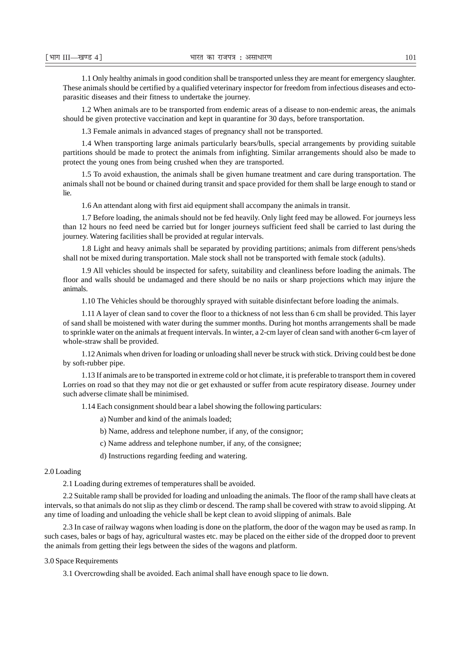1.1 Only healthy animals in good condition shall be transported unless they are meant for emergency slaughter. These animals should be certified by a qualified veterinary inspector for freedom from infectious diseases and ectoparasitic diseases and their fitness to undertake the journey.

1.2 When animals are to be transported from endemic areas of a disease to non-endemic areas, the animals should be given protective vaccination and kept in quarantine for 30 days, before transportation.

1.3 Female animals in advanced stages of pregnancy shall not be transported.

1.4 When transporting large animals particularly bears/bulls, special arrangements by providing suitable partitions should be made to protect the animals from infighting. Similar arrangements should also be made to protect the young ones from being crushed when they are transported.

1.5 To avoid exhaustion, the animals shall be given humane treatment and care during transportation. The animals shall not be bound or chained during transit and space provided for them shall be large enough to stand or lie.

1.6 An attendant along with first aid equipment shall accompany the animals in transit.

1.7 Before loading, the animals should not be fed heavily. Only light feed may be allowed. For journeys less than 12 hours no feed need be carried but for longer journeys sufficient feed shall be carried to last during the journey. Watering facilities shall be provided at regular intervals.

1.8 Light and heavy animals shall be separated by providing partitions; animals from different pens/sheds shall not be mixed during transportation. Male stock shall not be transported with female stock (adults).

1.9 All vehicles should be inspected for safety, suitability and cleanliness before loading the animals. The floor and walls should be undamaged and there should be no nails or sharp projections which may injure the animals.

1.10 The Vehicles should be thoroughly sprayed with suitable disinfectant before loading the animals.

1.11 A layer of clean sand to cover the floor to a thickness of not less than 6 cm shall be provided. This layer of sand shall be moistened with water during the summer months. During hot months arrangements shall be made to sprinkle water on the animals at frequent intervals. In winter, a 2-cm layer of clean sand with another 6-cm layer of whole-straw shall be provided.

1.12 Animals when driven for loading or unloading shall never be struck with stick. Driving could best be done by soft-rubber pipe.

1.13 If animals are to be transported in extreme cold or hot climate, it is preferable to transport them in covered Lorries on road so that they may not die or get exhausted or suffer from acute respiratory disease. Journey under such adverse climate shall be minimised.

1.14 Each consignment should bear a label showing the following particulars:

a) Number and kind of the animals loaded;

b) Name, address and telephone number, if any, of the consignor;

c) Name address and telephone number, if any, of the consignee;

d) Instructions regarding feeding and watering.

#### 2.0 Loading

2.1 Loading during extremes of temperatures shall be avoided.

2.2 Suitable ramp shall be provided for loading and unloading the animals. The floor of the ramp shall have cleats at intervals, so that animals do not slip as they climb or descend. The ramp shall be covered with straw to avoid slipping. At any time of loading and unloading the vehicle shall be kept clean to avoid slipping of animals. Bale

2.3 In case of railway wagons when loading is done on the platform, the door of the wagon may be used as ramp. In such cases, bales or bags of hay, agricultural wastes etc. may be placed on the either side of the dropped door to prevent the animals from getting their legs between the sides of the wagons and platform.

#### 3.0 Space Requirements

3.1 Overcrowding shall be avoided. Each animal shall have enough space to lie down.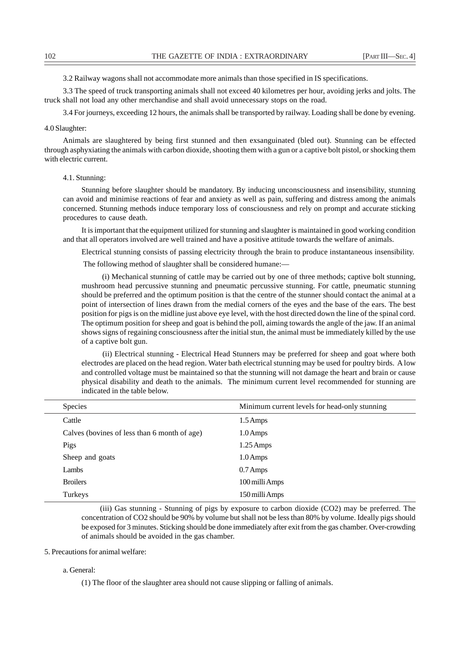3.2 Railway wagons shall not accommodate more animals than those specified in IS specifications.

3.3 The speed of truck transporting animals shall not exceed 40 kilometres per hour, avoiding jerks and jolts. The truck shall not load any other merchandise and shall avoid unnecessary stops on the road.

3.4 For journeys, exceeding 12 hours, the animals shall be transported by railway. Loading shall be done by evening.

#### 4.0 Slaughter:

Animals are slaughtered by being first stunned and then exsanguinated (bled out). Stunning can be effected through asphyxiating the animals with carbon dioxide, shooting them with a gun or a captive bolt pistol, or shocking them with electric current.

#### 4.1. Stunning:

Stunning before slaughter should be mandatory. By inducing unconsciousness and insensibility, stunning can avoid and minimise reactions of fear and anxiety as well as pain, suffering and distress among the animals concerned. Stunning methods induce temporary loss of consciousness and rely on prompt and accurate sticking procedures to cause death.

It is important that the equipment utilized for stunning and slaughter is maintained in good working condition and that all operators involved are well trained and have a positive attitude towards the welfare of animals.

Electrical stunning consists of passing electricity through the brain to produce instantaneous insensibility.

The following method of slaughter shall be considered humane:—

 (i) Mechanical stunning of cattle may be carried out by one of three methods; captive bolt stunning, mushroom head percussive stunning and pneumatic percussive stunning. For cattle, pneumatic stunning should be preferred and the optimum position is that the centre of the stunner should contact the animal at a point of intersection of lines drawn from the medial corners of the eyes and the base of the ears. The best position for pigs is on the midline just above eye level, with the host directed down the line of the spinal cord. The optimum position for sheep and goat is behind the poll, aiming towards the angle of the jaw. If an animal shows signs of regaining consciousness after the initial stun, the animal must be immediately killed by the use of a captive bolt gun.

 (ii) Electrical stunning - Electrical Head Stunners may be preferred for sheep and goat where both electrodes are placed on the head region. Water bath electrical stunning may be used for poultry birds. A low and controlled voltage must be maintained so that the stunning will not damage the heart and brain or cause physical disability and death to the animals. The minimum current level recommended for stunning are indicated in the table below.

| Species                                      | Minimum current levels for head-only stunning |
|----------------------------------------------|-----------------------------------------------|
| Cattle                                       | $1.5 \text{ Amps}$                            |
| Calves (bovines of less than 6 month of age) | $1.0 \text{ Amps}$                            |
| Pigs                                         | $1.25$ Amps                                   |
| Sheep and goats                              | 1.0 Amps                                      |
| Lambs                                        | $0.7 \text{ Amps}$                            |
| <b>Broilers</b>                              | 100 milli Amps                                |
| Turkeys                                      | 150 milli Amps                                |

(iii) Gas stunning - Stunning of pigs by exposure to carbon dioxide (CO2) may be preferred. The concentration of CO2 should be 90% by volume but shall not be less than 80% by volume. Ideally pigs should be exposed for 3 minutes. Sticking should be done immediately after exit from the gas chamber. Over-crowding of animals should be avoided in the gas chamber.

#### 5. Precautions for animal welfare:

#### a. General:

(1) The floor of the slaughter area should not cause slipping or falling of animals.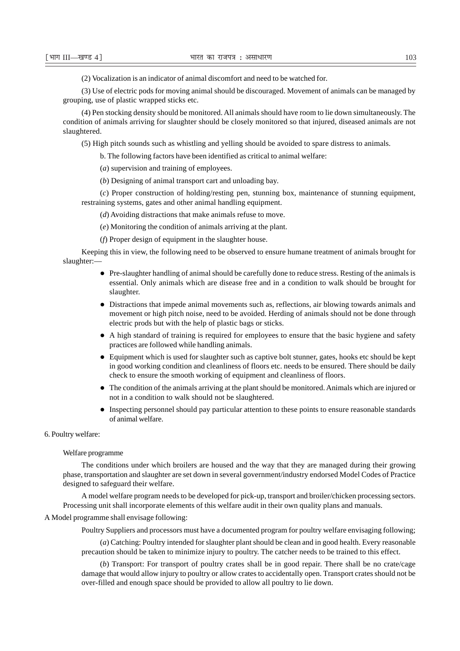(2) Vocalization is an indicator of animal discomfort and need to be watched for.

(3) Use of electric pods for moving animal should be discouraged. Movement of animals can be managed by grouping, use of plastic wrapped sticks etc.

(4) Pen stocking density should be monitored. All animals should have room to lie down simultaneously. The condition of animals arriving for slaughter should be closely monitored so that injured, diseased animals are not slaughtered.

(5) High pitch sounds such as whistling and yelling should be avoided to spare distress to animals.

b. The following factors have been identified as critical to animal welfare:

(*a*) supervision and training of employees.

(*b*) Designing of animal transport cart and unloading bay.

(*c*) Proper construction of holding/resting pen, stunning box, maintenance of stunning equipment, restraining systems, gates and other animal handling equipment.

(*d*) Avoiding distractions that make animals refuse to move.

(*e*) Monitoring the condition of animals arriving at the plant.

(*f*) Proper design of equipment in the slaughter house.

Keeping this in view, the following need to be observed to ensure humane treatment of animals brought for slaughter:—

- Pre-slaughter handling of animal should be carefully done to reduce stress. Resting of the animals is essential. Only animals which are disease free and in a condition to walk should be brought for slaughter.
- Distractions that impede animal movements such as, reflections, air blowing towards animals and movement or high pitch noise, need to be avoided. Herding of animals should not be done through electric prods but with the help of plastic bags or sticks.
- A high standard of training is required for employees to ensure that the basic hygiene and safety practices are followed while handling animals.
- Equipment which is used for slaughter such as captive bolt stunner, gates, hooks etc should be kept in good working condition and cleanliness of floors etc. needs to be ensured. There should be daily check to ensure the smooth working of equipment and cleanliness of floors.
- The condition of the animals arriving at the plant should be monitored. Animals which are injured or not in a condition to walk should not be slaughtered.
- Inspecting personnel should pay particular attention to these points to ensure reasonable standards of animal welfare.

6. Poultry welfare:

#### Welfare programme

The conditions under which broilers are housed and the way that they are managed during their growing phase, transportation and slaughter are set down in several government/industry endorsed Model Codes of Practice designed to safeguard their welfare.

A model welfare program needs to be developed for pick-up, transport and broiler/chicken processing sectors. Processing unit shall incorporate elements of this welfare audit in their own quality plans and manuals.

#### A Model programme shall envisage following:

Poultry Suppliers and processors must have a documented program for poultry welfare envisaging following;

(*a*) Catching: Poultry intended for slaughter plant should be clean and in good health. Every reasonable precaution should be taken to minimize injury to poultry. The catcher needs to be trained to this effect.

(*b*) Transport: For transport of poultry crates shall be in good repair. There shall be no crate/cage damage that would allow injury to poultry or allow crates to accidentally open. Transport crates should not be over-filled and enough space should be provided to allow all poultry to lie down.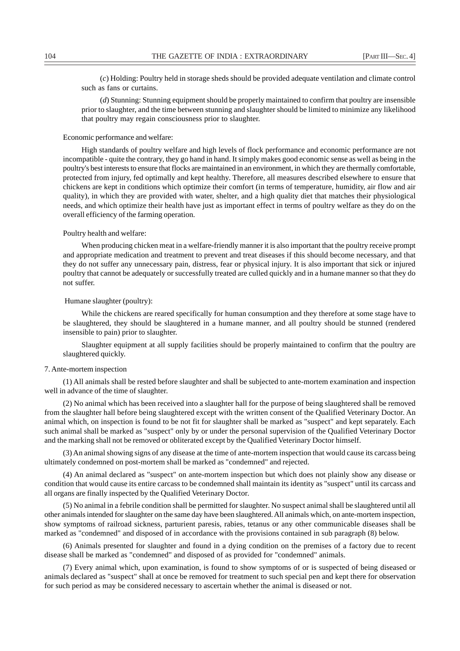(*c*) Holding: Poultry held in storage sheds should be provided adequate ventilation and climate control such as fans or curtains.

(*d*) Stunning: Stunning equipment should be properly maintained to confirm that poultry are insensible prior to slaughter, and the time between stunning and slaughter should be limited to minimize any likelihood that poultry may regain consciousness prior to slaughter.

#### Economic performance and welfare:

High standards of poultry welfare and high levels of flock performance and economic performance are not incompatible - quite the contrary, they go hand in hand. It simply makes good economic sense as well as being in the poultry's best interests to ensure that flocks are maintained in an environment, in which they are thermally comfortable, protected from injury, fed optimally and kept healthy. Therefore, all measures described elsewhere to ensure that chickens are kept in conditions which optimize their comfort (in terms of temperature, humidity, air flow and air quality), in which they are provided with water, shelter, and a high quality diet that matches their physiological needs, and which optimize their health have just as important effect in terms of poultry welfare as they do on the overall efficiency of the farming operation.

#### Poultry health and welfare:

When producing chicken meat in a welfare-friendly manner it is also important that the poultry receive prompt and appropriate medication and treatment to prevent and treat diseases if this should become necessary, and that they do not suffer any unnecessary pain, distress, fear or physical injury. It is also important that sick or injured poultry that cannot be adequately or successfully treated are culled quickly and in a humane manner so that they do not suffer.

#### Humane slaughter (poultry):

While the chickens are reared specifically for human consumption and they therefore at some stage have to be slaughtered, they should be slaughtered in a humane manner, and all poultry should be stunned (rendered insensible to pain) prior to slaughter.

Slaughter equipment at all supply facilities should be properly maintained to confirm that the poultry are slaughtered quickly.

#### 7. Ante-mortem inspection

(1) All animals shall be rested before slaughter and shall be subjected to ante-mortem examination and inspection well in advance of the time of slaughter.

(2) No animal which has been received into a slaughter hall for the purpose of being slaughtered shall be removed from the slaughter hall before being slaughtered except with the written consent of the Qualified Veterinary Doctor. An animal which, on inspection is found to be not fit for slaughter shall be marked as "suspect" and kept separately. Each such animal shall be marked as "suspect" only by or under the personal supervision of the Qualified Veterinary Doctor and the marking shall not be removed or obliterated except by the Qualified Veterinary Doctor himself.

(3) An animal showing signs of any disease at the time of ante-mortem inspection that would cause its carcass being ultimately condemned on post-mortem shall be marked as "condemned" and rejected.

(4) An animal declared as "suspect" on ante-mortem inspection but which does not plainly show any disease or condition that would cause its entire carcass to be condemned shall maintain its identity as "suspect" until its carcass and all organs are finally inspected by the Qualified Veterinary Doctor.

(5) No animal in a febrile condition shall be permitted for slaughter. No suspect animal shall be slaughtered until all other animals intended for slaughter on the same day have been slaughtered. All animals which, on ante-mortem inspection, show symptoms of railroad sickness, parturient paresis, rabies, tetanus or any other communicable diseases shall be marked as "condemned" and disposed of in accordance with the provisions contained in sub paragraph (8) below.

(6) Animals presented for slaughter and found in a dying condition on the premises of a factory due to recent disease shall be marked as "condemned" and disposed of as provided for "condemned" animals.

(7) Every animal which, upon examination, is found to show symptoms of or is suspected of being diseased or animals declared as "suspect" shall at once be removed for treatment to such special pen and kept there for observation for such period as may be considered necessary to ascertain whether the animal is diseased or not.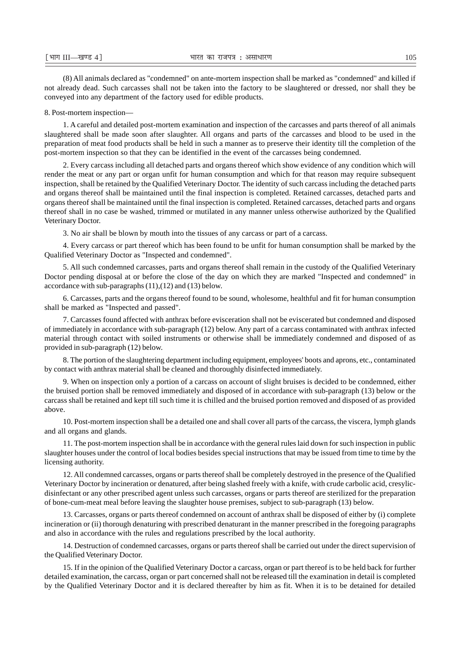(8) All animals declared as "condemned" on ante-mortem inspection shall be marked as "condemned" and killed if not already dead. Such carcasses shall not be taken into the factory to be slaughtered or dressed, nor shall they be conveyed into any department of the factory used for edible products.

#### 8. Post-mortem inspection—

1. A careful and detailed post-mortem examination and inspection of the carcasses and parts thereof of all animals slaughtered shall be made soon after slaughter. All organs and parts of the carcasses and blood to be used in the preparation of meat food products shall be held in such a manner as to preserve their identity till the completion of the post-mortem inspection so that they can be identified in the event of the carcasses being condemned.

2. Every carcass including all detached parts and organs thereof which show evidence of any condition which will render the meat or any part or organ unfit for human consumption and which for that reason may require subsequent inspection, shall be retained by the Qualified Veterinary Doctor. The identity of such carcass including the detached parts and organs thereof shall be maintained until the final inspection is completed. Retained carcasses, detached parts and organs thereof shall be maintained until the final inspection is completed. Retained carcasses, detached parts and organs thereof shall in no case be washed, trimmed or mutilated in any manner unless otherwise authorized by the Qualified Veterinary Doctor.

3. No air shall be blown by mouth into the tissues of any carcass or part of a carcass.

4. Every carcass or part thereof which has been found to be unfit for human consumption shall be marked by the Qualified Veterinary Doctor as "Inspected and condemned".

5. All such condemned carcasses, parts and organs thereof shall remain in the custody of the Qualified Veterinary Doctor pending disposal at or before the close of the day on which they are marked "Inspected and condemned" in accordance with sub-paragraphs (11),(12) and (13) below.

6. Carcasses, parts and the organs thereof found to be sound, wholesome, healthful and fit for human consumption shall be marked as "Inspected and passed".

7. Carcasses found affected with anthrax before evisceration shall not be eviscerated but condemned and disposed of immediately in accordance with sub-paragraph (12) below. Any part of a carcass contaminated with anthrax infected material through contact with soiled instruments or otherwise shall be immediately condemned and disposed of as provided in sub-paragraph (12) below.

8. The portion of the slaughtering department including equipment, employees' boots and aprons, etc., contaminated by contact with anthrax material shall be cleaned and thoroughly disinfected immediately.

9. When on inspection only a portion of a carcass on account of slight bruises is decided to be condemned, either the bruised portion shall be removed immediately and disposed of in accordance with sub-paragraph (13) below or the carcass shall be retained and kept till such time it is chilled and the bruised portion removed and disposed of as provided above.

10. Post-mortem inspection shall be a detailed one and shall cover all parts of the carcass, the viscera, lymph glands and all organs and glands.

11. The post-mortem inspection shall be in accordance with the general rules laid down for such inspection in public slaughter houses under the control of local bodies besides special instructions that may be issued from time to time by the licensing authority.

12. All condemned carcasses, organs or parts thereof shall be completely destroyed in the presence of the Qualified Veterinary Doctor by incineration or denatured, after being slashed freely with a knife, with crude carbolic acid, cresylicdisinfectant or any other prescribed agent unless such carcasses, organs or parts thereof are sterilized for the preparation of bone-cum-meat meal before leaving the slaughter house premises, subject to sub-paragraph (13) below.

13. Carcasses, organs or parts thereof condemned on account of anthrax shall be disposed of either by (i) complete incineration or (ii) thorough denaturing with prescribed denaturant in the manner prescribed in the foregoing paragraphs and also in accordance with the rules and regulations prescribed by the local authority.

14. Destruction of condemned carcasses, organs or parts thereof shall be carried out under the direct supervision of the Qualified Veterinary Doctor.

15. If in the opinion of the Qualified Veterinary Doctor a carcass, organ or part thereof is to be held back for further detailed examination, the carcass, organ or part concerned shall not be released till the examination in detail is completed by the Qualified Veterinary Doctor and it is declared thereafter by him as fit. When it is to be detained for detailed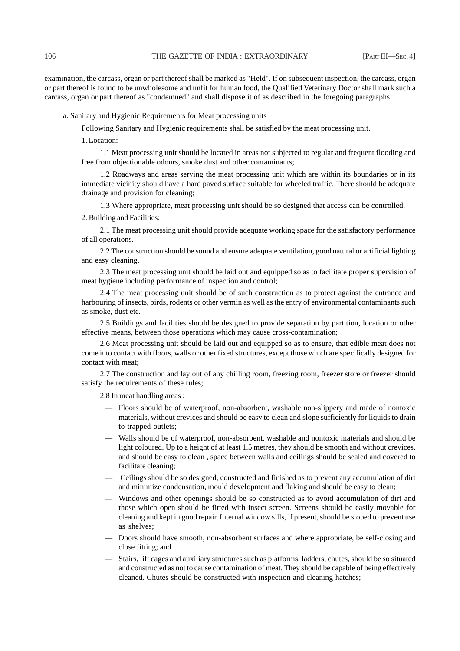examination, the carcass, organ or part thereof shall be marked as "Held". If on subsequent inspection, the carcass, organ or part thereof is found to be unwholesome and unfit for human food, the Qualified Veterinary Doctor shall mark such a carcass, organ or part thereof as "condemned" and shall dispose it of as described in the foregoing paragraphs.

a. Sanitary and Hygienic Requirements for Meat processing units

Following Sanitary and Hygienic requirements shall be satisfied by the meat processing unit.

1. Location:

1.1 Meat processing unit should be located in areas not subjected to regular and frequent flooding and free from objectionable odours, smoke dust and other contaminants;

1.2 Roadways and areas serving the meat processing unit which are within its boundaries or in its immediate vicinity should have a hard paved surface suitable for wheeled traffic. There should be adequate drainage and provision for cleaning;

1.3 Where appropriate, meat processing unit should be so designed that access can be controlled.

2. Building and Facilities:

2.1 The meat processing unit should provide adequate working space for the satisfactory performance of all operations.

2.2 The construction should be sound and ensure adequate ventilation, good natural or artificial lighting and easy cleaning.

2.3 The meat processing unit should be laid out and equipped so as to facilitate proper supervision of meat hygiene including performance of inspection and control;

2.4 The meat processing unit should be of such construction as to protect against the entrance and harbouring of insects, birds, rodents or other vermin as well as the entry of environmental contaminants such as smoke, dust etc.

2.5 Buildings and facilities should be designed to provide separation by partition, location or other effective means, between those operations which may cause cross-contamination;

2.6 Meat processing unit should be laid out and equipped so as to ensure, that edible meat does not come into contact with floors, walls or other fixed structures, except those which are specifically designed for contact with meat;

2.7 The construction and lay out of any chilling room, freezing room, freezer store or freezer should satisfy the requirements of these rules;

2.8 In meat handling areas :

- Floors should be of waterproof, non-absorbent, washable non-slippery and made of nontoxic materials, without crevices and should be easy to clean and slope sufficiently for liquids to drain to trapped outlets;
- Walls should be of waterproof, non-absorbent, washable and nontoxic materials and should be light coloured. Up to a height of at least 1.5 metres, they should be smooth and without crevices, and should be easy to clean , space between walls and ceilings should be sealed and covered to facilitate cleaning;
- Ceilings should be so designed, constructed and finished as to prevent any accumulation of dirt and minimize condensation, mould development and flaking and should be easy to clean;
- Windows and other openings should be so constructed as to avoid accumulation of dirt and those which open should be fitted with insect screen. Screens should be easily movable for cleaning and kept in good repair. Internal window sills, if present, should be sloped to prevent use as shelves;
- Doors should have smooth, non-absorbent surfaces and where appropriate, be self-closing and close fitting; and
- Stairs, lift cages and auxiliary structures such as platforms, ladders, chutes, should be so situated and constructed as not to cause contamination of meat. They should be capable of being effectively cleaned. Chutes should be constructed with inspection and cleaning hatches;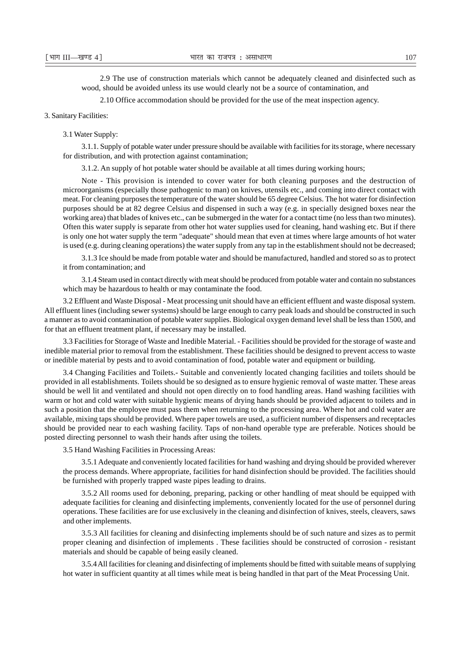2.9 The use of construction materials which cannot be adequately cleaned and disinfected such as wood, should be avoided unless its use would clearly not be a source of contamination, and

2.10 Office accommodation should be provided for the use of the meat inspection agency.

#### 3. Sanitary Facilities:

#### 3.1 Water Supply:

3.1.1. Supply of potable water under pressure should be available with facilities for its storage, where necessary for distribution, and with protection against contamination;

3.1.2. An supply of hot potable water should be available at all times during working hours;

Note - This provision is intended to cover water for both cleaning purposes and the destruction of microorganisms (especially those pathogenic to man) on knives, utensils etc., and coming into direct contact with meat. For cleaning purposes the temperature of the water should be 65 degree Celsius. The hot water for disinfection purposes should be at 82 degree Celsius and dispensed in such a way (e.g. in specially designed boxes near the working area) that blades of knives etc., can be submerged in the water for a contact time (no less than two minutes). Often this water supply is separate from other hot water supplies used for cleaning, hand washing etc. But if there is only one hot water supply the term "adequate" should mean that even at times where large amounts of hot water is used (e.g. during cleaning operations) the water supply from any tap in the establishment should not be decreased;

3.1.3 Ice should be made from potable water and should be manufactured, handled and stored so as to protect it from contamination; and

3.1.4 Steam used in contact directly with meat should be produced from potable water and contain no substances which may be hazardous to health or may contaminate the food.

3.2 Effluent and Waste Disposal - Meat processing unit should have an efficient effluent and waste disposal system. All effluent lines (including sewer systems) should be large enough to carry peak loads and should be constructed in such a manner as to avoid contamination of potable water supplies. Biological oxygen demand level shall be less than 1500, and for that an effluent treatment plant, if necessary may be installed.

3.3 Facilities for Storage of Waste and Inedible Material. - Facilities should be provided for the storage of waste and inedible material prior to removal from the establishment. These facilities should be designed to prevent access to waste or inedible material by pests and to avoid contamination of food, potable water and equipment or building.

3.4 Changing Facilities and Toilets.- Suitable and conveniently located changing facilities and toilets should be provided in all establishments. Toilets should be so designed as to ensure hygienic removal of waste matter. These areas should be well lit and ventilated and should not open directly on to food handling areas. Hand washing facilities with warm or hot and cold water with suitable hygienic means of drying hands should be provided adjacent to toilets and in such a position that the employee must pass them when returning to the processing area. Where hot and cold water are available, mixing taps should be provided. Where paper towels are used, a sufficient number of dispensers and receptacles should be provided near to each washing facility. Taps of non-hand operable type are preferable. Notices should be posted directing personnel to wash their hands after using the toilets.

3.5 Hand Washing Facilities in Processing Areas:

3.5.1 Adequate and conveniently located facilities for hand washing and drying should be provided wherever the process demands. Where appropriate, facilities for hand disinfection should be provided. The facilities should be furnished with properly trapped waste pipes leading to drains.

3.5.2 All rooms used for deboning, preparing, packing or other handling of meat should be equipped with adequate facilities for cleaning and disinfecting implements, conveniently located for the use of personnel during operations. These facilities are for use exclusively in the cleaning and disinfection of knives, steels, cleavers, saws and other implements.

3.5.3 All facilities for cleaning and disinfecting implements should be of such nature and sizes as to permit proper cleaning and disinfection of implements . These facilities should be constructed of corrosion - resistant materials and should be capable of being easily cleaned.

3.5.4 All facilities for cleaning and disinfecting of implements should be fitted with suitable means of supplying hot water in sufficient quantity at all times while meat is being handled in that part of the Meat Processing Unit.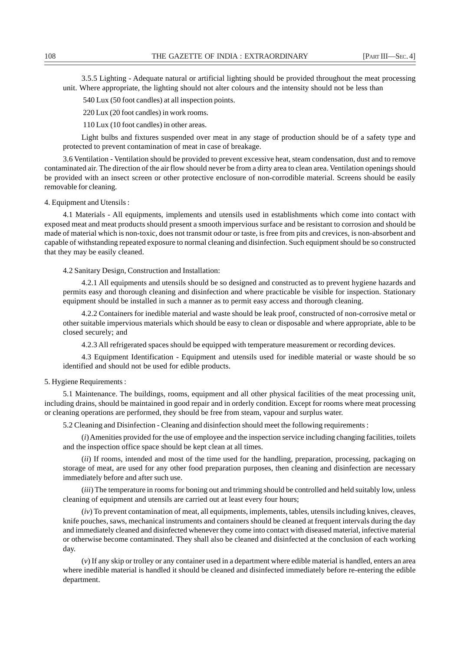3.5.5 Lighting - Adequate natural or artificial lighting should be provided throughout the meat processing unit. Where appropriate, the lighting should not alter colours and the intensity should not be less than

540 Lux (50 foot candles) at all inspection points.

220 Lux (20 foot candles) in work rooms.

110 Lux (10 foot candles) in other areas.

Light bulbs and fixtures suspended over meat in any stage of production should be of a safety type and protected to prevent contamination of meat in case of breakage.

3.6 Ventilation - Ventilation should be provided to prevent excessive heat, steam condensation, dust and to remove contaminated air. The direction of the air flow should never be from a dirty area to clean area. Ventilation openings should be provided with an insect screen or other protective enclosure of non-corrodible material. Screens should be easily removable for cleaning.

4. Equipment and Utensils :

4.1 Materials - All equipments, implements and utensils used in establishments which come into contact with exposed meat and meat products should present a smooth impervious surface and be resistant to corrosion and should be made of material which is non-toxic, does not transmit odour or taste, is free from pits and crevices, is non-absorbent and capable of withstanding repeated exposure to normal cleaning and disinfection. Such equipment should be so constructed that they may be easily cleaned.

4.2 Sanitary Design, Construction and Installation:

4.2.1 All equipments and utensils should be so designed and constructed as to prevent hygiene hazards and permits easy and thorough cleaning and disinfection and where practicable be visible for inspection. Stationary equipment should be installed in such a manner as to permit easy access and thorough cleaning.

4.2.2 Containers for inedible material and waste should be leak proof, constructed of non-corrosive metal or other suitable impervious materials which should be easy to clean or disposable and where appropriate, able to be closed securely; and

4.2.3 All refrigerated spaces should be equipped with temperature measurement or recording devices.

4.3 Equipment Identification - Equipment and utensils used for inedible material or waste should be so identified and should not be used for edible products.

5. Hygiene Requirements :

5.1 Maintenance. The buildings, rooms, equipment and all other physical facilities of the meat processing unit, including drains, should be maintained in good repair and in orderly condition. Except for rooms where meat processing or cleaning operations are performed, they should be free from steam, vapour and surplus water.

5.2 Cleaning and Disinfection - Cleaning and disinfection should meet the following requirements :

(*i*) Amenities provided for the use of employee and the inspection service including changing facilities, toilets and the inspection office space should be kept clean at all times.

(*ii*) If rooms, intended and most of the time used for the handling, preparation, processing, packaging on storage of meat, are used for any other food preparation purposes, then cleaning and disinfection are necessary immediately before and after such use.

(*iii*) The temperature in rooms for boning out and trimming should be controlled and held suitably low, unless cleaning of equipment and utensils are carried out at least every four hours;

(*iv*) To prevent contamination of meat, all equipments, implements, tables, utensils including knives, cleaves, knife pouches, saws, mechanical instruments and containers should be cleaned at frequent intervals during the day and immediately cleaned and disinfected whenever they come into contact with diseased material, infective material or otherwise become contaminated. They shall also be cleaned and disinfected at the conclusion of each working day.

(*v*) If any skip or trolley or any container used in a department where edible material is handled, enters an area where inedible material is handled it should be cleaned and disinfected immediately before re-entering the edible department.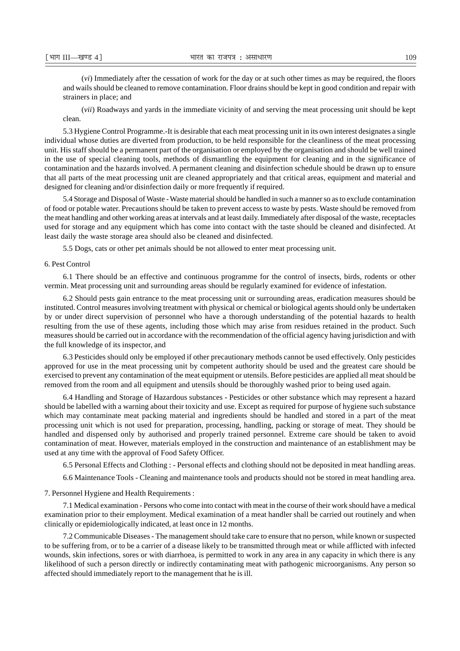(*vi*) Immediately after the cessation of work for the day or at such other times as may be required, the floors and wails should be cleaned to remove contamination. Floor drains should be kept in good condition and repair with strainers in place; and

(*vii*) Roadways and yards in the immediate vicinity of and serving the meat processing unit should be kept clean.

5.3 Hygiene Control Programme.-It is desirable that each meat processing unit in its own interest designates a single individual whose duties are diverted from production, to be held responsible for the cleanliness of the meat processing unit. His staff should be a permanent part of the organisation or employed by the organisation and should be well trained in the use of special cleaning tools, methods of dismantling the equipment for cleaning and in the significance of contamination and the hazards involved. A permanent cleaning and disinfection schedule should be drawn up to ensure that all parts of the meat processing unit are cleaned appropriately and that critical areas, equipment and material and designed for cleaning and/or disinfection daily or more frequently if required.

5.4 Storage and Disposal of Waste - Waste material should be handled in such a manner so as to exclude contamination of food or potable water. Precautions should be taken to prevent access to waste by pests. Waste should be removed from the meat handling and other working areas at intervals and at least daily. Immediately after disposal of the waste, receptacles used for storage and any equipment which has come into contact with the taste should be cleaned and disinfected. At least daily the waste storage area should also be cleaned and disinfected.

5.5 Dogs, cats or other pet animals should be not allowed to enter meat processing unit.

#### 6. Pest Control

6.1 There should be an effective and continuous programme for the control of insects, birds, rodents or other vermin. Meat processing unit and surrounding areas should be regularly examined for evidence of infestation.

6.2 Should pests gain entrance to the meat processing unit or surrounding areas, eradication measures should be instituted. Control measures involving treatment with physical or chemical or biological agents should only be undertaken by or under direct supervision of personnel who have a thorough understanding of the potential hazards to health resulting from the use of these agents, including those which may arise from residues retained in the product. Such measures should be carried out in accordance with the recommendation of the official agency having jurisdiction and with the full knowledge of its inspector, and

6.3 Pesticides should only be employed if other precautionary methods cannot be used effectively. Only pesticides approved for use in the meat processing unit by competent authority should be used and the greatest care should be exercised to prevent any contamination of the meat equipment or utensils. Before pesticides are applied all meat should be removed from the room and all equipment and utensils should be thoroughly washed prior to being used again.

6.4 Handling and Storage of Hazardous substances - Pesticides or other substance which may represent a hazard should be labelled with a warning about their toxicity and use. Except as required for purpose of hygiene such substance which may contaminate meat packing material and ingredients should be handled and stored in a part of the meat processing unit which is not used for preparation, processing, handling, packing or storage of meat. They should be handled and dispensed only by authorised and properly trained personnel. Extreme care should be taken to avoid contamination of meat. However, materials employed in the construction and maintenance of an establishment may be used at any time with the approval of Food Safety Officer.

6.5 Personal Effects and Clothing : - Personal effects and clothing should not be deposited in meat handling areas.

6.6 Maintenance Tools - Cleaning and maintenance tools and products should not be stored in meat handling area.

#### 7. Personnel Hygiene and Health Requirements :

7.1 Medical examination - Persons who come into contact with meat in the course of their work should have a medical examination prior to their employment. Medical examination of a meat handler shall be carried out routinely and when clinically or epidemiologically indicated, at least once in 12 months.

7.2 Communicable Diseases - The management should take care to ensure that no person, while known or suspected to be suffering from, or to be a carrier of a disease likely to be transmitted through meat or while afflicted with infected wounds, skin infections, sores or with diarrhoea, is permitted to work in any area in any capacity in which there is any likelihood of such a person directly or indirectly contaminating meat with pathogenic microorganisms. Any person so affected should immediately report to the management that he is ill.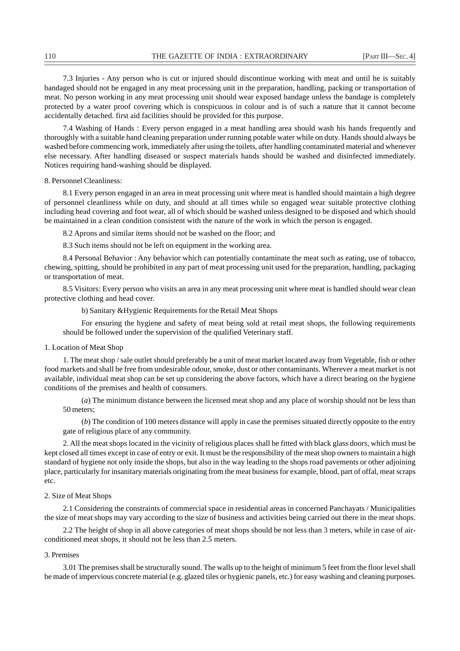7.3 Injuries - Any person who is cut or injured should discontinue working with meat and until he is suitably bandaged should not be engaged in any meat processing unit in the preparation, handling, packing or transportation of meat. No person working in any meat processing unit should wear exposed bandage unless the bandage is completely protected by a water proof covering which is conspicuous in colour and is of such a nature that it cannot become accidentally detached. first aid facilities should be provided for this purpose.

7.4 Washing of Hands : Every person engaged in a meat handling area should wash his hands frequently and thoroughly with a suitable hand cleaning preparation under running potable water while on duty. Hands should always be washed before commencing work, immediately after using the toilets, after handling contaminated material and whenever else necessary. After handling diseased or suspect materials hands should be washed and disinfected immediately. Notices requiring hand-washing should be displayed.

#### 8. Personnel Cleanliness:

8.1 Every person engaged in an area in meat processing unit where meat is handled should maintain a high degree of personnel cleanliness while on duty, and should at all times while so engaged wear suitable protective clothing including head covering and foot wear, all of which should be washed unless designed to be disposed and which should be maintained in a clean condition consistent with the nature of the work in which the person is engaged.

8.2 Aprons and similar items should not be washed on the floor; and

8.3 Such items should not be left on equipment in the working area.

8.4 Personal Behavior : Any behavior which can potentially contaminate the meat such as eating, use of tobacco, chewing, spitting, should be prohibited in any part of meat processing unit used for the preparation, handling, packaging or transportation of meat.

8.5 Visitors: Every person who visits an area in any meat processing unit where meat is handled should wear clean protective clothing and head cover.

b) Sanitary &Hygienic Requirements for the Retail Meat Shops

For ensuring the hygiene and safety of meat being sold at retail meat shops, the following requirements should be followed under the supervision of the qualified Veterinary staff.

#### 1. Location of Meat Shop

1. The meat shop / sale outlet should preferably be a unit of meat market located away from Vegetable, fish or other food markets and shall be free from undesirable odour, smoke, dust or other contaminants. Wherever a meat market is not available, individual meat shop can be set up considering the above factors, which have a direct bearing on the hygiene conditions of the premises and health of consumers.

(*a*) The minimum distance between the licensed meat shop and any place of worship should not be less than 50 meters;

(*b*) The condition of 100 meters distance will apply in case the premises situated directly opposite to the entry gate of religious place of any community.

2. All the meat shops located in the vicinity of religious places shall be fitted with black glass doors, which must be kept closed all times except in case of entry or exit. It must be the responsibility of the meat shop owners to maintain a high standard of hygiene not only inside the shops, but also in the way leading to the shops road pavements or other adjoining place, particularly for insanitary materials originating from the meat business for example, blood, part of offal, meat scraps etc.

#### 2. Size of Meat Shops

2.1 Considering the constraints of commercial space in residential areas in concerned Panchayats / Municipalities the size of meat shops may vary according to the size of business and activities being carried out there in the meat shops.

2.2 The height of shop in all above categories of meat shops should be not less than 3 meters, while in case of airconditioned meat shops, it should not be less than 2.5 meters.

#### 3. Premises

3.01 The premises shall be structurally sound. The walls up to the height of minimum 5 feet from the floor level shall be made of impervious concrete material (e.g. glazed tiles or hygienic panels, etc.) for easy washing and cleaning purposes.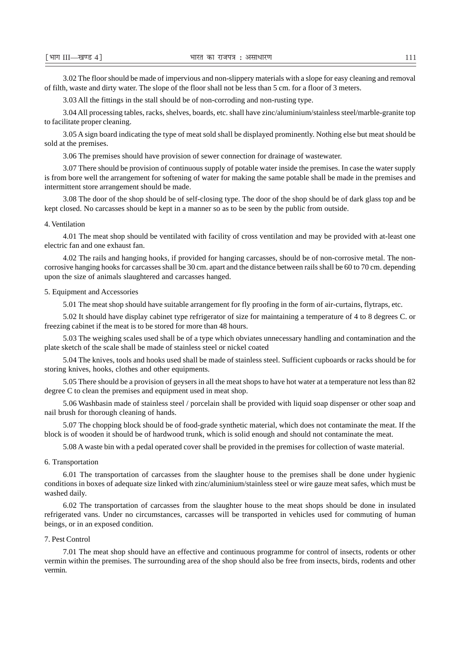3.02 The floor should be made of impervious and non-slippery materials with a slope for easy cleaning and removal of filth, waste and dirty water. The slope of the floor shall not be less than 5 cm. for a floor of 3 meters.

3.03 All the fittings in the stall should be of non-corroding and non-rusting type.

3.04 All processing tables, racks, shelves, boards, etc. shall have zinc/aluminium/stainless steel/marble-granite top to facilitate proper cleaning.

3.05 A sign board indicating the type of meat sold shall be displayed prominently. Nothing else but meat should be sold at the premises.

3.06 The premises should have provision of sewer connection for drainage of wastewater.

3.07 There should be provision of continuous supply of potable water inside the premises. In case the water supply is from bore well the arrangement for softening of water for making the same potable shall be made in the premises and intermittent store arrangement should be made.

3.08 The door of the shop should be of self-closing type. The door of the shop should be of dark glass top and be kept closed. No carcasses should be kept in a manner so as to be seen by the public from outside.

#### 4. Ventilation

4.01 The meat shop should be ventilated with facility of cross ventilation and may be provided with at-least one electric fan and one exhaust fan.

4.02 The rails and hanging hooks, if provided for hanging carcasses, should be of non-corrosive metal. The noncorrosive hanging hooks for carcasses shall be 30 cm. apart and the distance between rails shall be 60 to 70 cm. depending upon the size of animals slaughtered and carcasses hanged.

#### 5. Equipment and Accessories

5.01 The meat shop should have suitable arrangement for fly proofing in the form of air-curtains, flytraps, etc.

5.02 It should have display cabinet type refrigerator of size for maintaining a temperature of 4 to 8 degrees C. or freezing cabinet if the meat is to be stored for more than 48 hours.

5.03 The weighing scales used shall be of a type which obviates unnecessary handling and contamination and the plate sketch of the scale shall be made of stainless steel or nickel coated

5.04 The knives, tools and hooks used shall be made of stainless steel. Sufficient cupboards or racks should be for storing knives, hooks, clothes and other equipments.

5.05 There should be a provision of geysers in all the meat shops to have hot water at a temperature not less than 82 degree C to clean the premises and equipment used in meat shop.

5.06 Washbasin made of stainless steel / porcelain shall be provided with liquid soap dispenser or other soap and nail brush for thorough cleaning of hands.

5.07 The chopping block should be of food-grade synthetic material, which does not contaminate the meat. If the block is of wooden it should be of hardwood trunk, which is solid enough and should not contaminate the meat.

5.08 A waste bin with a pedal operated cover shall be provided in the premises for collection of waste material.

#### 6. Transportation

6.01 The transportation of carcasses from the slaughter house to the premises shall be done under hygienic conditions in boxes of adequate size linked with zinc/aluminium/stainless steel or wire gauze meat safes, which must be washed daily.

6.02 The transportation of carcasses from the slaughter house to the meat shops should be done in insulated refrigerated vans. Under no circumstances, carcasses will be transported in vehicles used for commuting of human beings, or in an exposed condition.

#### 7. Pest Control

7.01 The meat shop should have an effective and continuous programme for control of insects, rodents or other vermin within the premises. The surrounding area of the shop should also be free from insects, birds, rodents and other vermin.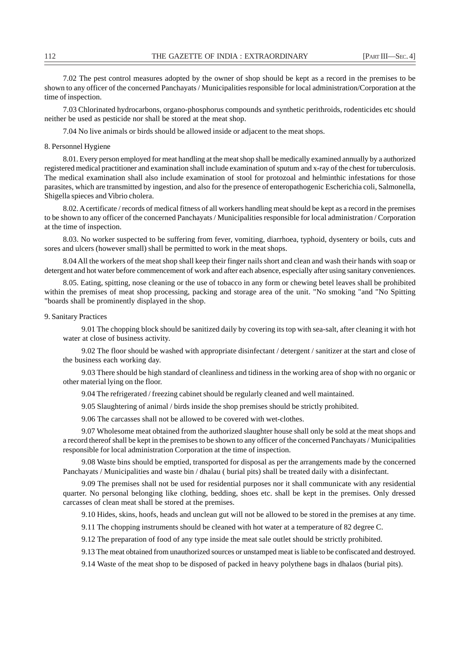7.02 The pest control measures adopted by the owner of shop should be kept as a record in the premises to be shown to any officer of the concerned Panchayats / Municipalities responsible for local administration/Corporation at the time of inspection.

7.03 Chlorinated hydrocarbons, organo-phosphorus compounds and synthetic perithroids, rodenticides etc should neither be used as pesticide nor shall be stored at the meat shop.

7.04 No live animals or birds should be allowed inside or adjacent to the meat shops.

#### 8. Personnel Hygiene

8.01. Every person employed for meat handling at the meat shop shall be medically examined annually by a authorized registered medical practitioner and examination shall include examination of sputum and x-ray of the chest for tuberculosis. The medical examination shall also include examination of stool for protozoal and helminthic infestations for those parasites, which are transmitted by ingestion, and also for the presence of enteropathogenic Escherichia coli, Salmonella, Shigella spieces and Vibrio cholera.

8.02. A certificate / records of medical fitness of all workers handling meat should be kept as a record in the premises to be shown to any officer of the concerned Panchayats / Municipalities responsible for local administration / Corporation at the time of inspection.

8.03. No worker suspected to be suffering from fever, vomiting, diarrhoea, typhoid, dysentery or boils, cuts and sores and ulcers (however small) shall be permitted to work in the meat shops.

8.04 All the workers of the meat shop shall keep their finger nails short and clean and wash their hands with soap or detergent and hot water before commencement of work and after each absence, especially after using sanitary conveniences.

8.05. Eating, spitting, nose cleaning or the use of tobacco in any form or chewing betel leaves shall be prohibited within the premises of meat shop processing, packing and storage area of the unit. "No smoking "and "No Spitting "boards shall be prominently displayed in the shop.

#### 9. Sanitary Practices

9.01 The chopping block should be sanitized daily by covering its top with sea-salt, after cleaning it with hot water at close of business activity.

9.02 The floor should be washed with appropriate disinfectant / detergent / sanitizer at the start and close of the business each working day.

9.03 There should be high standard of cleanliness and tidiness in the working area of shop with no organic or other material lying on the floor.

9.04 The refrigerated / freezing cabinet should be regularly cleaned and well maintained.

9.05 Slaughtering of animal / birds inside the shop premises should be strictly prohibited.

9.06 The carcasses shall not be allowed to be covered with wet-clothes.

9.07 Wholesome meat obtained from the authorized slaughter house shall only be sold at the meat shops and a record thereof shall be kept in the premises to be shown to any officer of the concerned Panchayats / Municipalities responsible for local administration Corporation at the time of inspection.

9.08 Waste bins should be emptied, transported for disposal as per the arrangements made by the concerned Panchayats / Municipalities and waste bin / dhalau ( burial pits) shall be treated daily with a disinfectant.

9.09 The premises shall not be used for residential purposes nor it shall communicate with any residential quarter. No personal belonging like clothing, bedding, shoes etc. shall be kept in the premises. Only dressed carcasses of clean meat shall be stored at the premises.

9.10 Hides, skins, hoofs, heads and unclean gut will not be allowed to be stored in the premises at any time.

9.11 The chopping instruments should be cleaned with hot water at a temperature of 82 degree C.

9.12 The preparation of food of any type inside the meat sale outlet should be strictly prohibited.

9.13 The meat obtained from unauthorized sources or unstamped meat is liable to be confiscated and destroyed.

9.14 Waste of the meat shop to be disposed of packed in heavy polythene bags in dhalaos (burial pits).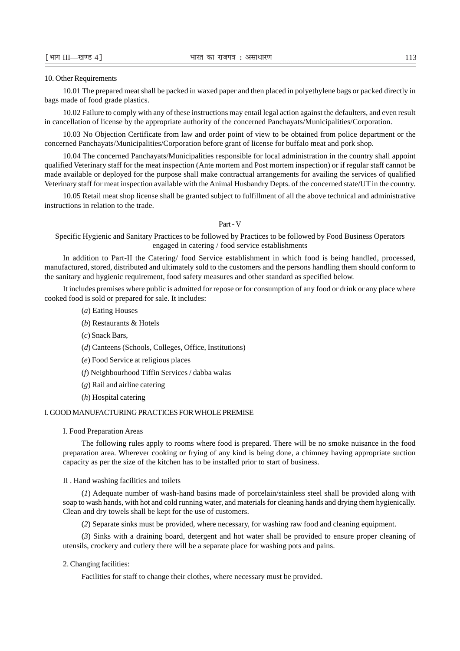#### 10. Other Requirements

10.01 The prepared meat shall be packed in waxed paper and then placed in polyethylene bags or packed directly in bags made of food grade plastics.

10.02 Failure to comply with any of these instructions may entail legal action against the defaulters, and even result in cancellation of license by the appropriate authority of the concerned Panchayats/Municipalities/Corporation.

10.03 No Objection Certificate from law and order point of view to be obtained from police department or the concerned Panchayats/Municipalities/Corporation before grant of license for buffalo meat and pork shop.

10.04 The concerned Panchayats/Municipalities responsible for local administration in the country shall appoint qualified Veterinary staff for the meat inspection (Ante mortem and Post mortem inspection) or if regular staff cannot be made available or deployed for the purpose shall make contractual arrangements for availing the services of qualified Veterinary staff for meat inspection available with the Animal Husbandry Depts. of the concerned state/UT in the country.

10.05 Retail meat shop license shall be granted subject to fulfillment of all the above technical and administrative instructions in relation to the trade.

#### Part - V

Specific Hygienic and Sanitary Practices to be followed by Practices to be followed by Food Business Operators engaged in catering / food service establishments

In addition to Part-II the Catering/ food Service establishment in which food is being handled, processed, manufactured, stored, distributed and ultimately sold to the customers and the persons handling them should conform to the sanitary and hygienic requirement, food safety measures and other standard as specified below.

It includes premises where public is admitted for repose or for consumption of any food or drink or any place where cooked food is sold or prepared for sale. It includes:

- (*a*) Eating Houses
- (*b*) Restaurants & Hotels
- (*c*) Snack Bars,
- (*d*) Canteens (Schools, Colleges, Office, Institutions)
- (*e*) Food Service at religious places
- (*f*) Neighbourhood Tiffin Services / dabba walas
- (*g*) Rail and airline catering
- (*h*) Hospital catering

#### I. GOOD MANUFACTURING PRACTICES FOR WHOLE PREMISE

#### I. Food Preparation Areas

The following rules apply to rooms where food is prepared. There will be no smoke nuisance in the food preparation area. Wherever cooking or frying of any kind is being done, a chimney having appropriate suction capacity as per the size of the kitchen has to be installed prior to start of business.

#### II . Hand washing facilities and toilets

(*1*) Adequate number of wash-hand basins made of porcelain/stainless steel shall be provided along with soap to wash hands, with hot and cold running water, and materials for cleaning hands and drying them hygienically. Clean and dry towels shall be kept for the use of customers.

(*2*) Separate sinks must be provided, where necessary, for washing raw food and cleaning equipment.

(*3*) Sinks with a draining board, detergent and hot water shall be provided to ensure proper cleaning of utensils, crockery and cutlery there will be a separate place for washing pots and pains.

#### 2. Changing facilities:

Facilities for staff to change their clothes, where necessary must be provided.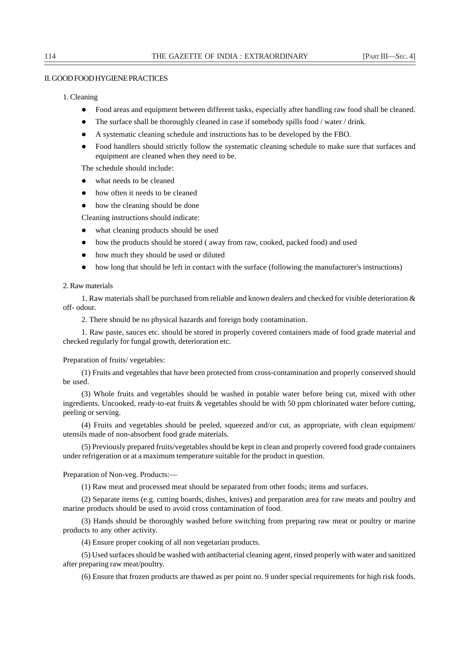#### II. GOOD FOOD HYGIENE PRACTICES

1. Cleaning

- Food areas and equipment between different tasks, especially after handling raw food shall be cleaned.
- $\bullet$  The surface shall be thoroughly cleaned in case if somebody spills food / water / drink.
- A systematic cleaning schedule and instructions has to be developed by the FBO.
- Food handlers should strictly follow the systematic cleaning schedule to make sure that surfaces and equipment are cleaned when they need to be.

The schedule should include:

- what needs to be cleaned
- $\bullet$  how often it needs to be cleaned
- how the cleaning should be done

Cleaning instructions should indicate:

- what cleaning products should be used
- how the products should be stored ( away from raw, cooked, packed food) and used
- how much they should be used or diluted
- how long that should be left in contact with the surface (following the manufacturer's instructions)

#### 2. Raw materials

1. Raw materials shall be purchased from reliable and known dealers and checked for visible deterioration & off- odour.

2. There should be no physical hazards and foreign body contamination.

1. Raw paste, sauces etc. should be stored in properly covered containers made of food grade material and checked regularly for fungal growth, deterioration etc.

#### Preparation of fruits/ vegetables:

(1) Fruits and vegetables that have been protected from cross-contamination and properly conserved should be used.

(3) Whole fruits and vegetables should be washed in potable water before being cut, mixed with other ingredients. Uncooked, ready-to-eat fruits & vegetables should be with 50 ppm chlorinated water before cutting, peeling or serving.

(4) Fruits and vegetables should be peeled, squeezed and/or cut, as appropriate, with clean equipment/ utensils made of non-absorbent food grade materials.

(5) Previously prepared fruits/vegetables should be kept in clean and properly covered food grade containers under refrigeration or at a maximum temperature suitable for the product in question.

Preparation of Non-veg. Products:—

(1) Raw meat and processed meat should be separated from other foods; items and surfaces.

(2) Separate items (e.g. cutting boards, dishes, knives) and preparation area for raw meats and poultry and marine products should be used to avoid cross contamination of food.

(3) Hands should be thoroughly washed before switching from preparing raw meat or poultry or marine products to any other activity.

(4) Ensure proper cooking of all non vegetarian products.

(5) Used surfaces should be washed with antibacterial cleaning agent, rinsed properly with water and sanitized after preparing raw meat/poultry.

(6) Ensure that frozen products are thawed as per point no. 9 under special requirements for high risk foods.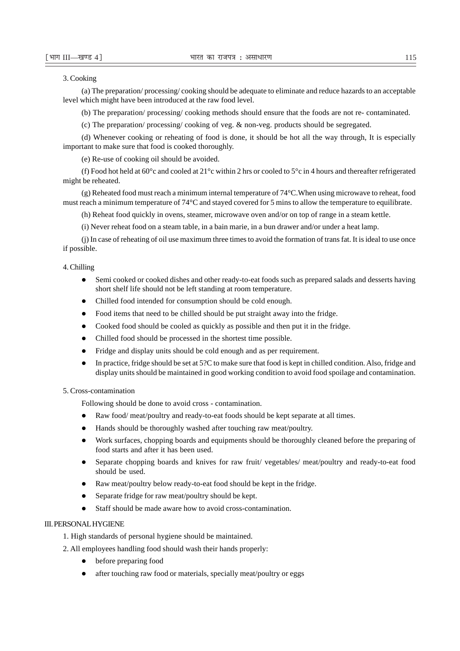#### 3. Cooking

(a) The preparation/ processing/ cooking should be adequate to eliminate and reduce hazards to an acceptable level which might have been introduced at the raw food level.

(b) The preparation/ processing/ cooking methods should ensure that the foods are not re- contaminated.

(c) The preparation/ processing/ cooking of veg. & non-veg. products should be segregated.

(d) Whenever cooking or reheating of food is done, it should be hot all the way through, It is especially important to make sure that food is cooked thoroughly.

(e) Re-use of cooking oil should be avoided.

(f) Food hot held at  $60^{\circ}$ c and cooled at  $21^{\circ}$ c within 2 hrs or cooled to  $5^{\circ}$ c in 4 hours and thereafter refrigerated might be reheated.

(g) Reheated food must reach a minimum internal temperature of 74°C.When using microwave to reheat, food must reach a minimum temperature of 74°C and stayed covered for 5 mins to allow the temperature to equilibrate.

(h) Reheat food quickly in ovens, steamer, microwave oven and/or on top of range in a steam kettle.

(i) Never reheat food on a steam table, in a bain marie, in a bun drawer and/or under a heat lamp.

(j) In case of reheating of oil use maximum three times to avoid the formation of trans fat. It is ideal to use once if possible.

#### 4. Chilling

- Semi cooked or cooked dishes and other ready-to-eat foods such as prepared salads and desserts having short shelf life should not be left standing at room temperature.
- Chilled food intended for consumption should be cold enough.
- Food items that need to be chilled should be put straight away into the fridge.
- Cooked food should be cooled as quickly as possible and then put it in the fridge.
- Chilled food should be processed in the shortest time possible.
- Fridge and display units should be cold enough and as per requirement.
- $\bullet$  In practice, fridge should be set at 5?C to make sure that food is kept in chilled condition. Also, fridge and display units should be maintained in good working condition to avoid food spoilage and contamination.

#### 5. Cross-contamination

Following should be done to avoid cross - contamination.

- Raw food/ meat/poultry and ready-to-eat foods should be kept separate at all times.
- Hands should be thoroughly washed after touching raw meat/poultry.
- Work surfaces, chopping boards and equipments should be thoroughly cleaned before the preparing of food starts and after it has been used.
- Separate chopping boards and knives for raw fruit/ vegetables/ meat/poultry and ready-to-eat food should be used.
- Raw meat/poultry below ready-to-eat food should be kept in the fridge.
- $\bullet$  Separate fridge for raw meat/poultry should be kept.
- Staff should be made aware how to avoid cross-contamination.

#### III. PERSONAL HYGIENE

1. High standards of personal hygiene should be maintained.

2. All employees handling food should wash their hands properly:

- $\bullet$  before preparing food
- after touching raw food or materials, specially meat/poultry or eggs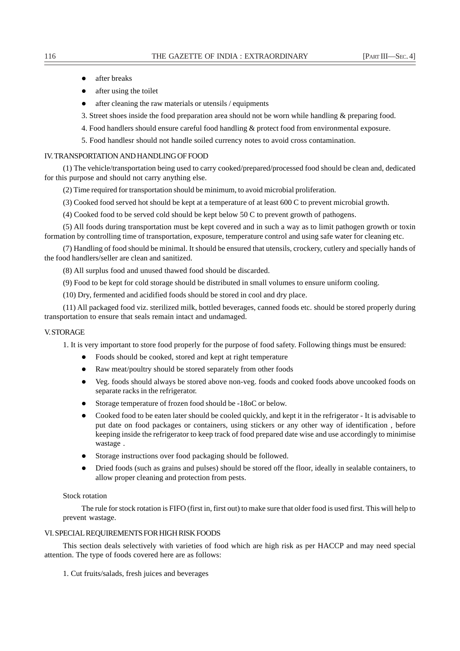- $\bullet$  after breaks
- $\bullet$  after using the toilet
- $\bullet$  after cleaning the raw materials or utensils / equipments
- 3. Street shoes inside the food preparation area should not be worn while handling & preparing food.
- 4. Food handlers should ensure careful food handling & protect food from environmental exposure.
- 5. Food handlesr should not handle soiled currency notes to avoid cross contamination.

#### IV. TRANSPORTATION AND HANDLING OF FOOD

(1) The vehicle/transportation being used to carry cooked/prepared/processed food should be clean and, dedicated for this purpose and should not carry anything else.

(2) Time required for transportation should be minimum, to avoid microbial proliferation.

(3) Cooked food served hot should be kept at a temperature of at least 600 C to prevent microbial growth.

(4) Cooked food to be served cold should be kept below 50 C to prevent growth of pathogens.

(5) All foods during transportation must be kept covered and in such a way as to limit pathogen growth or toxin formation by controlling time of transportation, exposure, temperature control and using safe water for cleaning etc.

(7) Handling of food should be minimal. It should be ensured that utensils, crockery, cutlery and specially hands of the food handlers/seller are clean and sanitized.

(8) All surplus food and unused thawed food should be discarded.

(9) Food to be kept for cold storage should be distributed in small volumes to ensure uniform cooling.

(10) Dry, fermented and acidified foods should be stored in cool and dry place.

(11) All packaged food viz. sterilized milk, bottled beverages, canned foods etc. should be stored properly during transportation to ensure that seals remain intact and undamaged.

#### V. STORAGE

1. It is very important to store food properly for the purpose of food safety. Following things must be ensured:

- Foods should be cooked, stored and kept at right temperature
- Raw meat/poultry should be stored separately from other foods
- Veg. foods should always be stored above non-veg. foods and cooked foods above uncooked foods on separate racks in the refrigerator.
- Storage temperature of frozen food should be -18oC or below.
- Cooked food to be eaten later should be cooled quickly, and kept it in the refrigerator It is advisable to put date on food packages or containers, using stickers or any other way of identification , before keeping inside the refrigerator to keep track of food prepared date wise and use accordingly to minimise wastage .
- Storage instructions over food packaging should be followed.
- Dried foods (such as grains and pulses) should be stored off the floor, ideally in sealable containers, to allow proper cleaning and protection from pests.

#### Stock rotation

The rule for stock rotation is FIFO (first in, first out) to make sure that older food is used first. This will help to prevent wastage.

#### VI. SPECIAL REQUIREMENTS FOR HIGH RISK FOODS

This section deals selectively with varieties of food which are high risk as per HACCP and may need special attention. The type of foods covered here are as follows:

1. Cut fruits/salads, fresh juices and beverages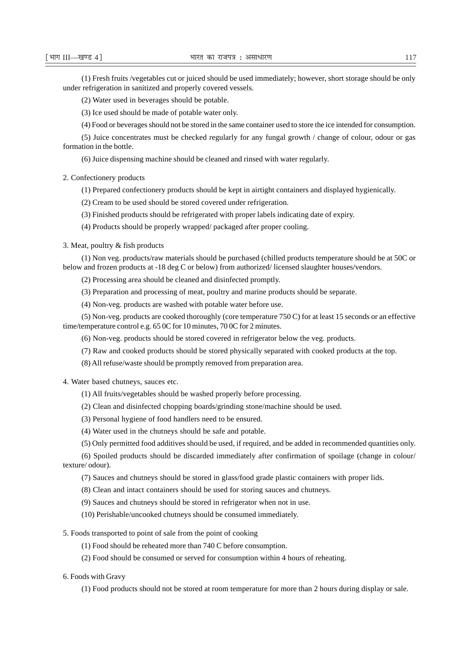(1) Fresh fruits /vegetables cut or juiced should be used immediately; however, short storage should be only under refrigeration in sanitized and properly covered vessels.

(2) Water used in beverages should be potable.

(3) Ice used should be made of potable water only.

(4) Food or beverages should not be stored in the same container used to store the ice intended for consumption.

(5) Juice concentrates must be checked regularly for any fungal growth / change of colour, odour or gas formation in the bottle.

(6) Juice dispensing machine should be cleaned and rinsed with water regularly.

2. Confectionery products

(1) Prepared confectionery products should be kept in airtight containers and displayed hygienically.

(2) Cream to be used should be stored covered under refrigeration.

(3) Finished products should be refrigerated with proper labels indicating date of expiry.

(4) Products should be properly wrapped/ packaged after proper cooling.

3. Meat, poultry & fish products

(1) Non veg. products/raw materials should be purchased (chilled products temperature should be at 50C or below and frozen products at -18 deg C or below) from authorized/ licensed slaughter houses/vendors.

(2) Processing area should be cleaned and disinfected promptly.

(3) Preparation and processing of meat, poultry and marine products should be separate.

(4) Non-veg. products are washed with potable water before use.

(5) Non-veg. products are cooked thoroughly (core temperature 750 C) for at least 15 seconds or an effective time/temperature control e.g. 65 0C for 10 minutes, 70 0C for 2 minutes.

(6) Non-veg. products should be stored covered in refrigerator below the veg. products.

(7) Raw and cooked products should be stored physically separated with cooked products at the top.

(8) All refuse/waste should be promptly removed from preparation area.

4. Water based chutneys, sauces etc.

(1) All fruits/vegetables should be washed properly before processing.

(2) Clean and disinfected chopping boards/grinding stone/machine should be used.

(3) Personal hygiene of food handlers need to be ensured.

(4) Water used in the chutneys should be safe and potable.

(5) Only permitted food additives should be used, if required, and be added in recommended quantities only.

(6) Spoiled products should be discarded immediately after confirmation of spoilage (change in colour/ texture/ odour).

(7) Sauces and chutneys should be stored in glass/food grade plastic containers with proper lids.

(8) Clean and intact containers should be used for storing sauces and chutneys.

(9) Sauces and chutneys should be stored in refrigerator when not in use.

(10) Perishable/uncooked chutneys should be consumed immediately.

5. Foods transported to point of sale from the point of cooking

(1) Food should be reheated more than 740 C before consumption.

(2) Food should be consumed or served for consumption within 4 hours of reheating.

6. Foods with Gravy

(1) Food products should not be stored at room temperature for more than 2 hours during display or sale.